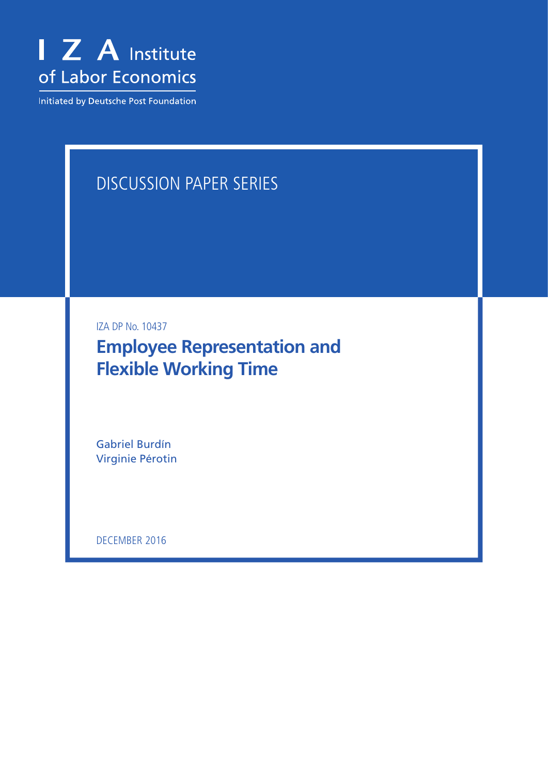

Initiated by Deutsche Post Foundation

# Discussion Paper Series

IZA DP No. 10437

**Employee Representation and Flexible Working Time**

Gabriel Burdín Virginie Pérotin

DECEMBER 2016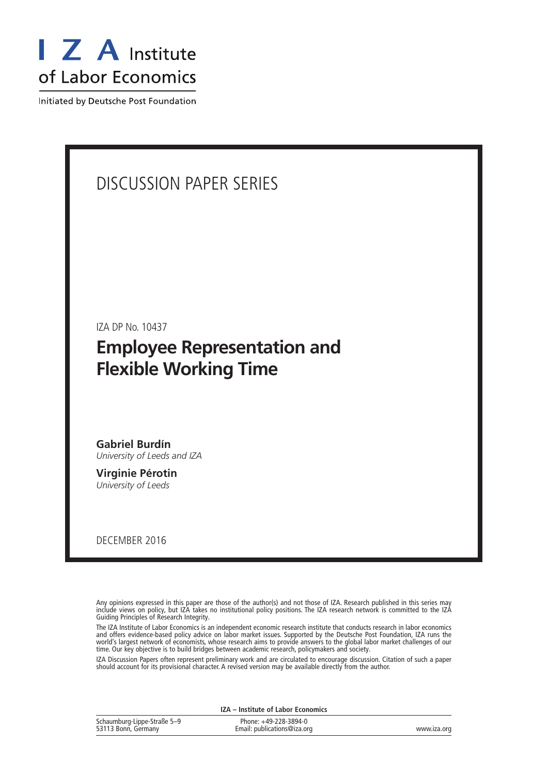

Initiated by Deutsche Post Foundation

# Discussion Paper Series

IZA DP No. 10437

# **Employee Representation and Flexible Working Time**

**Gabriel Burdín** *University of Leeds and IZA*

**Virginie Pérotin** *University of Leeds*

December 2016

Any opinions expressed in this paper are those of the author(s) and not those of IZA. Research published in this series may include views on policy, but IZA takes no institutional policy positions. The IZA research network is committed to the IZA Guiding Principles of Research Integrity.

The IZA Institute of Labor Economics is an independent economic research institute that conducts research in labor economics and offers evidence-based policy advice on labor market issues. Supported by the Deutsche Post Foundation, IZA runs the world's largest network of economists, whose research aims to provide answers to the global labor market challenges of our time. Our key objective is to build bridges between academic research, policymakers and society.

IZA Discussion Papers often represent preliminary work and are circulated to encourage discussion. Citation of such a paper should account for its provisional character. A revised version may be available directly from the author.

| IZA – Institute of Labor Economics                 |                                                      |             |  |  |  |  |  |
|----------------------------------------------------|------------------------------------------------------|-------------|--|--|--|--|--|
| Schaumburg-Lippe-Straße 5-9<br>53113 Bonn, Germany | Phone: +49-228-3894-0<br>Email: publications@iza.org | www.iza.org |  |  |  |  |  |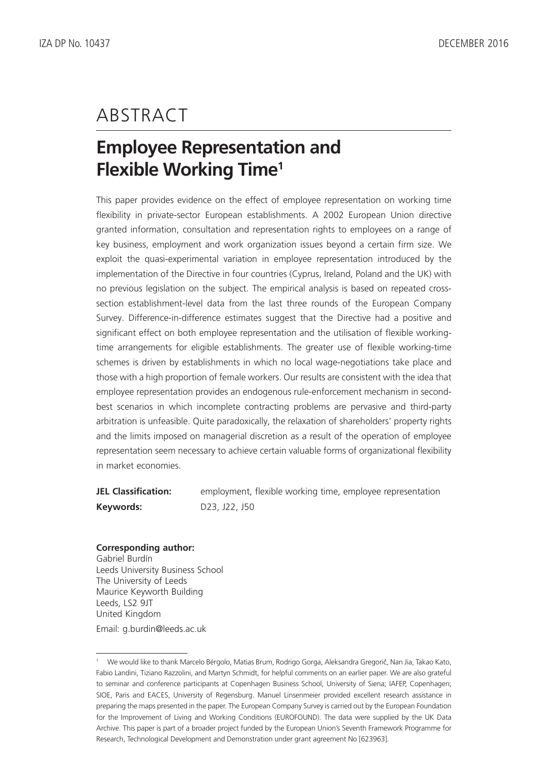# **ABSTRACT**

# **Employee Representation and Flexible Working Time1**

This paper provides evidence on the effect of employee representation on working time flexibility in private-sector European establishments. A 2002 European Union directive granted information, consultation and representation rights to employees on a range of key business, employment and work organization issues beyond a certain firm size. We exploit the quasi-experimental variation in employee representation introduced by the implementation of the Directive in four countries (Cyprus, Ireland, Poland and the UK) with no previous legislation on the subject. The empirical analysis is based on repeated crosssection establishment-level data from the last three rounds of the European Company Survey. Difference-in-difference estimates suggest that the Directive had a positive and significant effect on both employee representation and the utilisation of flexible workingtime arrangements for eligible establishments. The greater use of flexible working-time schemes is driven by establishments in which no local wage-negotiations take place and those with a high proportion of female workers. Our results are consistent with the idea that employee representation provides an endogenous rule-enforcement mechanism in secondbest scenarios in which incomplete contracting problems are pervasive and third-party arbitration is unfeasible. Quite paradoxically, the relaxation of shareholders' property rights and the limits imposed on managerial discretion as a result of the operation of employee representation seem necessary to achieve certain valuable forms of organizational flexibility in market economies.

**JEL Classification:** employment, flexible working time, employee representation **Keywords:** D23, J22, J50

### **Corresponding author:**

Gabriel Burdín Leeds University Business School The University of Leeds Maurice Keyworth Building Leeds, LS2 9JT United Kingdom Email: g.burdin@leeds.ac.uk

<sup>1</sup> We would like to thank Marcelo Bérgolo, Matias Brum, Rodrigo Gorga, Aleksandra Gregorič, Nan Jia, Takao Kato, Fabio Landini, Tiziano Razzolini, and Martyn Schmidt, for helpful comments on an earlier paper. We are also grateful to seminar and conference participants at Copenhagen Business School, University of Siena; IAFEP, Copenhagen; SIOE, Paris and EACES, University of Regensburg. Manuel Linsenmeier provided excellent research assistance in preparing the maps presented in the paper. The European Company Survey is carried out by the European Foundation for the Improvement of Living and Working Conditions (EUROFOUND). The data were supplied by the UK Data Archive. This paper is part of a broader project funded by the European Union's Seventh Framework Programme for Research, Technological Development and Demonstration under grant agreement No [623963].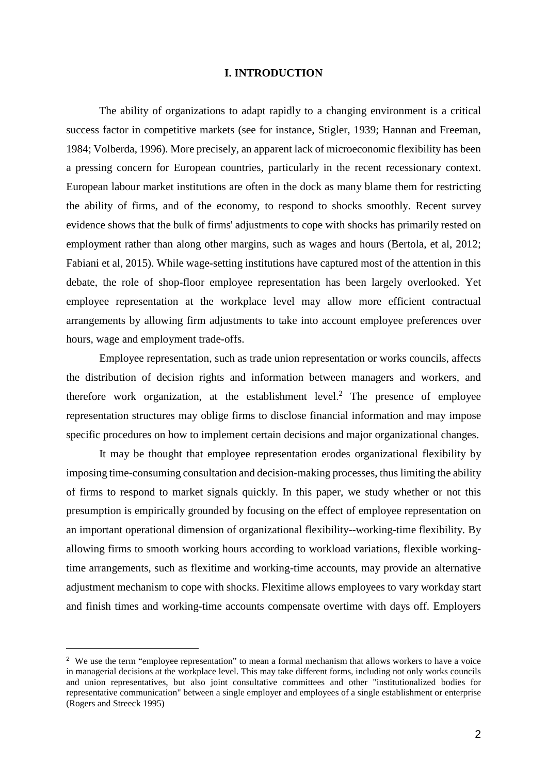### **I. INTRODUCTION**

The ability of organizations to adapt rapidly to a changing environment is a critical success factor in competitive markets (see for instance, Stigler, 1939; Hannan and Freeman, 1984; Volberda, 1996). More precisely, an apparent lack of microeconomic flexibility has been a pressing concern for European countries, particularly in the recent recessionary context. European labour market institutions are often in the dock as many blame them for restricting the ability of firms, and of the economy, to respond to shocks smoothly. Recent survey evidence shows that the bulk of firms' adjustments to cope with shocks has primarily rested on employment rather than along other margins, such as wages and hours (Bertola, et al, 2012; Fabiani et al, 2015). While wage-setting institutions have captured most of the attention in this debate, the role of shop-floor employee representation has been largely overlooked. Yet employee representation at the workplace level may allow more efficient contractual arrangements by allowing firm adjustments to take into account employee preferences over hours, wage and employment trade-offs.

Employee representation, such as trade union representation or works councils, affects the distribution of decision rights and information between managers and workers, and therefore work organization, at the establishment level.<sup>2</sup> The presence of employee representation structures may oblige firms to disclose financial information and may impose specific procedures on how to implement certain decisions and major organizational changes.

It may be thought that employee representation erodes organizational flexibility by imposing time-consuming consultation and decision-making processes, thus limiting the ability of firms to respond to market signals quickly. In this paper, we study whether or not this presumption is empirically grounded by focusing on the effect of employee representation on an important operational dimension of organizational flexibility--working-time flexibility. By allowing firms to smooth working hours according to workload variations, flexible workingtime arrangements, such as flexitime and working-time accounts, may provide an alternative adjustment mechanism to cope with shocks. Flexitime allows employees to vary workday start and finish times and working-time accounts compensate overtime with days off. Employers

<sup>&</sup>lt;sup>2</sup> We use the term "employee representation" to mean a formal mechanism that allows workers to have a voice in managerial decisions at the workplace level. This may take different forms, including not only works councils and union representatives, but also joint consultative committees and other "institutionalized bodies for representative communication" between a single employer and employees of a single establishment or enterprise (Rogers and Streeck 1995)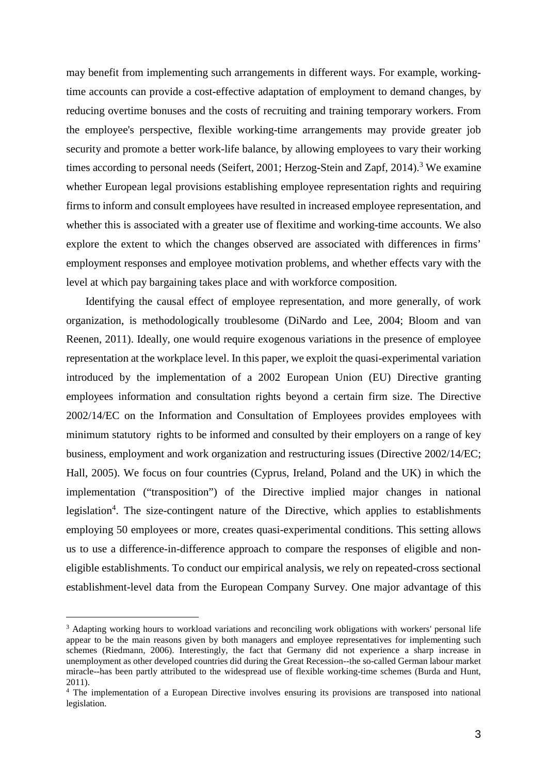may benefit from implementing such arrangements in different ways. For example, workingtime accounts can provide a cost-effective adaptation of employment to demand changes, by reducing overtime bonuses and the costs of recruiting and training temporary workers. From the employee's perspective, flexible working-time arrangements may provide greater job security and promote a better work-life balance, by allowing employees to vary their working times according to personal needs (Seifert, 2001; Herzog-Stein and Zapf, 2014).<sup>3</sup> We examine whether European legal provisions establishing employee representation rights and requiring firms to inform and consult employees have resulted in increased employee representation, and whether this is associated with a greater use of flexitime and working-time accounts. We also explore the extent to which the changes observed are associated with differences in firms' employment responses and employee motivation problems, and whether effects vary with the level at which pay bargaining takes place and with workforce composition.

Identifying the causal effect of employee representation, and more generally, of work organization, is methodologically troublesome (DiNardo and Lee, 2004; Bloom and van Reenen, 2011). Ideally, one would require exogenous variations in the presence of employee representation at the workplace level. In this paper, we exploit the quasi-experimental variation introduced by the implementation of a 2002 European Union (EU) Directive granting employees information and consultation rights beyond a certain firm size. The Directive 2002/14/EC on the Information and Consultation of Employees provides employees with minimum statutory rights to be informed and consulted by their employers on a range of key business, employment and work organization and restructuring issues (Directive 2002/14/EC; Hall, 2005). We focus on four countries (Cyprus, Ireland, Poland and the UK) in which the implementation ("transposition") of the Directive implied major changes in national legislation<sup>4</sup>. The size-contingent nature of the Directive, which applies to establishments employing 50 employees or more, creates quasi-experimental conditions. This setting allows us to use a difference-in-difference approach to compare the responses of eligible and noneligible establishments. To conduct our empirical analysis, we rely on repeated-cross sectional establishment-level data from the European Company Survey. One major advantage of this

<sup>&</sup>lt;sup>3</sup> Adapting working hours to workload variations and reconciling work obligations with workers' personal life appear to be the main reasons given by both managers and employee representatives for implementing such schemes (Riedmann, 2006). Interestingly, the fact that Germany did not experience a sharp increase in unemployment as other developed countries did during the Great Recession--the so-called German labour market miracle--has been partly attributed to the widespread use of flexible working-time schemes (Burda and Hunt, 2011).

<sup>&</sup>lt;sup>4</sup> The implementation of a European Directive involves ensuring its provisions are transposed into national legislation.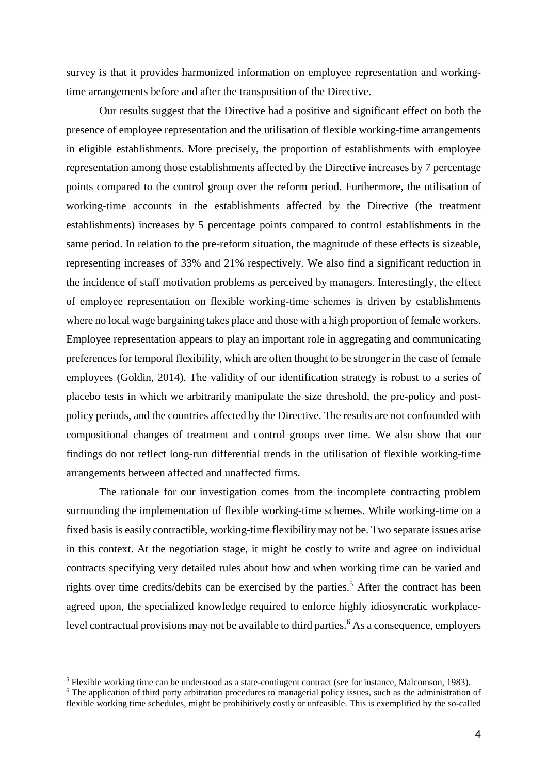survey is that it provides harmonized information on employee representation and workingtime arrangements before and after the transposition of the Directive.

Our results suggest that the Directive had a positive and significant effect on both the presence of employee representation and the utilisation of flexible working-time arrangements in eligible establishments. More precisely, the proportion of establishments with employee representation among those establishments affected by the Directive increases by 7 percentage points compared to the control group over the reform period. Furthermore, the utilisation of working-time accounts in the establishments affected by the Directive (the treatment establishments) increases by 5 percentage points compared to control establishments in the same period. In relation to the pre-reform situation, the magnitude of these effects is sizeable, representing increases of 33% and 21% respectively. We also find a significant reduction in the incidence of staff motivation problems as perceived by managers. Interestingly, the effect of employee representation on flexible working-time schemes is driven by establishments where no local wage bargaining takes place and those with a high proportion of female workers. Employee representation appears to play an important role in aggregating and communicating preferences for temporal flexibility, which are often thought to be stronger in the case of female employees (Goldin, 2014). The validity of our identification strategy is robust to a series of placebo tests in which we arbitrarily manipulate the size threshold, the pre-policy and postpolicy periods, and the countries affected by the Directive. The results are not confounded with compositional changes of treatment and control groups over time. We also show that our findings do not reflect long-run differential trends in the utilisation of flexible working-time arrangements between affected and unaffected firms.

The rationale for our investigation comes from the incomplete contracting problem surrounding the implementation of flexible working-time schemes. While working-time on a fixed basis is easily contractible, working-time flexibility may not be. Two separate issues arise in this context. At the negotiation stage, it might be costly to write and agree on individual contracts specifying very detailed rules about how and when working time can be varied and rights over time credits/debits can be exercised by the parties.<sup>5</sup> After the contract has been agreed upon, the specialized knowledge required to enforce highly idiosyncratic workplacelevel contractual provisions may not be available to third parties.<sup>6</sup> As a consequence, employers

<sup>5</sup> Flexible working time can be understood as a state-contingent contract (see for instance, Malcomson, 1983).

<sup>&</sup>lt;sup>6</sup> The application of third party arbitration procedures to managerial policy issues, such as the administration of flexible working time schedules, might be prohibitively costly or unfeasible. This is exemplified by the so-called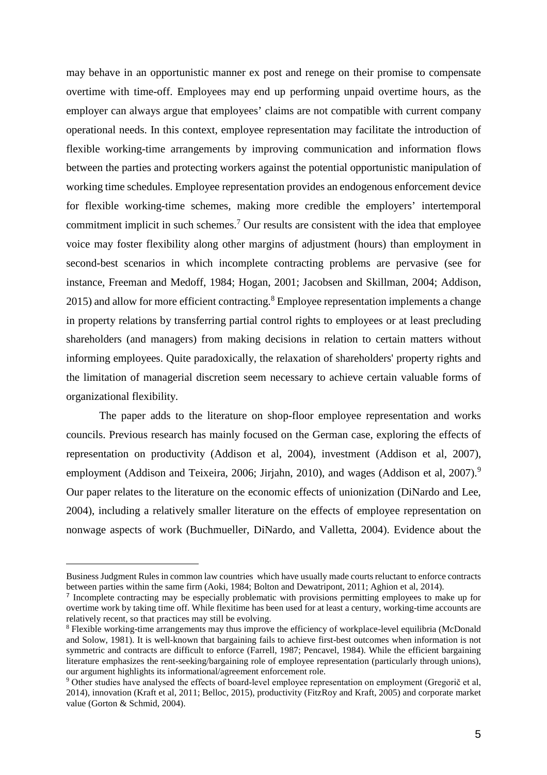may behave in an opportunistic manner ex post and renege on their promise to compensate overtime with time-off. Employees may end up performing unpaid overtime hours, as the employer can always argue that employees' claims are not compatible with current company operational needs. In this context, employee representation may facilitate the introduction of flexible working-time arrangements by improving communication and information flows between the parties and protecting workers against the potential opportunistic manipulation of working time schedules. Employee representation provides an endogenous enforcement device for flexible working-time schemes, making more credible the employers' intertemporal commitment implicit in such schemes.<sup>7</sup> Our results are consistent with the idea that employee voice may foster flexibility along other margins of adjustment (hours) than employment in second-best scenarios in which incomplete contracting problems are pervasive (see for instance, Freeman and Medoff, 1984; Hogan, 2001; Jacobsen and Skillman, 2004; Addison, 2015) and allow for more efficient contracting.<sup>8</sup> Employee representation implements a change in property relations by transferring partial control rights to employees or at least precluding shareholders (and managers) from making decisions in relation to certain matters without informing employees. Quite paradoxically, the relaxation of shareholders' property rights and the limitation of managerial discretion seem necessary to achieve certain valuable forms of organizational flexibility.

The paper adds to the literature on shop-floor employee representation and works councils. Previous research has mainly focused on the German case, exploring the effects of representation on productivity (Addison et al, 2004), investment (Addison et al, 2007), employment (Addison and Teixeira, 2006; Jirjahn, 2010), and wages (Addison et al, 2007).<sup>9</sup> Our paper relates to the literature on the economic effects of unionization (DiNardo and Lee, 2004), including a relatively smaller literature on the effects of employee representation on nonwage aspects of work (Buchmueller, DiNardo, and Valletta, 2004). Evidence about the

Business Judgment Rules in common law countries which have usually made courts reluctant to enforce contracts between parties within the same firm (Aoki, 1984; Bolton and Dewatripont, 2011; Aghion et al, 2014).

<sup>7</sup> Incomplete contracting may be especially problematic with provisions permitting employees to make up for overtime work by taking time off. While flexitime has been used for at least a century, working-time accounts are relatively recent, so that practices may still be evolving.

<sup>&</sup>lt;sup>8</sup> Flexible working-time arrangements may thus improve the efficiency of workplace-level equilibria (McDonald and Solow, 1981). It is well-known that bargaining fails to achieve first-best outcomes when information is not symmetric and contracts are difficult to enforce (Farrell, 1987; Pencavel, 1984). While the efficient bargaining literature emphasizes the rent-seeking/bargaining role of employee representation (particularly through unions), our argument highlights its informational/agreement enforcement role.

<sup>9</sup> Other studies have analysed the effects of board-level employee representation on employment (Gregorič et al, 2014), innovation (Kraft et al, 2011; Belloc, 2015), productivity (FitzRoy and Kraft, 2005) and corporate market value (Gorton & Schmid, 2004).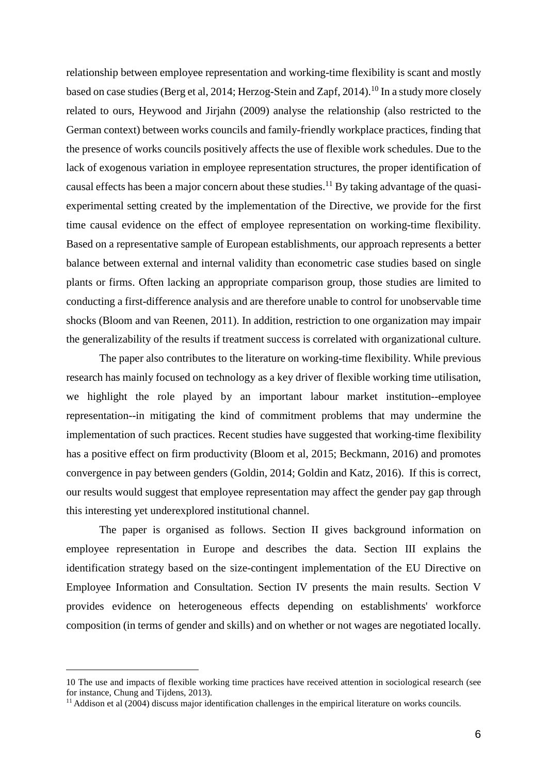relationship between employee representation and working-time flexibility is scant and mostly based on case studies (Berg et al, 2014; Herzog-Stein and Zapf, 2014).<sup>10</sup> In a study more closely related to ours, Heywood and Jirjahn (2009) analyse the relationship (also restricted to the German context) between works councils and family-friendly workplace practices, finding that the presence of works councils positively affects the use of flexible work schedules. Due to the lack of exogenous variation in employee representation structures, the proper identification of causal effects has been a major concern about these studies.<sup>11</sup> By taking advantage of the quasiexperimental setting created by the implementation of the Directive, we provide for the first time causal evidence on the effect of employee representation on working-time flexibility. Based on a representative sample of European establishments, our approach represents a better balance between external and internal validity than econometric case studies based on single plants or firms. Often lacking an appropriate comparison group, those studies are limited to conducting a first-difference analysis and are therefore unable to control for unobservable time shocks (Bloom and van Reenen, 2011). In addition, restriction to one organization may impair the generalizability of the results if treatment success is correlated with organizational culture.

The paper also contributes to the literature on working-time flexibility. While previous research has mainly focused on technology as a key driver of flexible working time utilisation, we highlight the role played by an important labour market institution--employee representation--in mitigating the kind of commitment problems that may undermine the implementation of such practices. Recent studies have suggested that working-time flexibility has a positive effect on firm productivity (Bloom et al, 2015; Beckmann, 2016) and promotes convergence in pay between genders (Goldin, 2014; Goldin and Katz, 2016). If this is correct, our results would suggest that employee representation may affect the gender pay gap through this interesting yet underexplored institutional channel.

The paper is organised as follows. Section II gives background information on employee representation in Europe and describes the data. Section III explains the identification strategy based on the size-contingent implementation of the EU Directive on Employee Information and Consultation. Section IV presents the main results. Section V provides evidence on heterogeneous effects depending on establishments' workforce composition (in terms of gender and skills) and on whether or not wages are negotiated locally.

<sup>10</sup> The use and impacts of flexible working time practices have received attention in sociological research (see for instance, Chung and Tijdens, 2013).

<sup>&</sup>lt;sup>11</sup> Addison et al (2004) discuss major identification challenges in the empirical literature on works councils.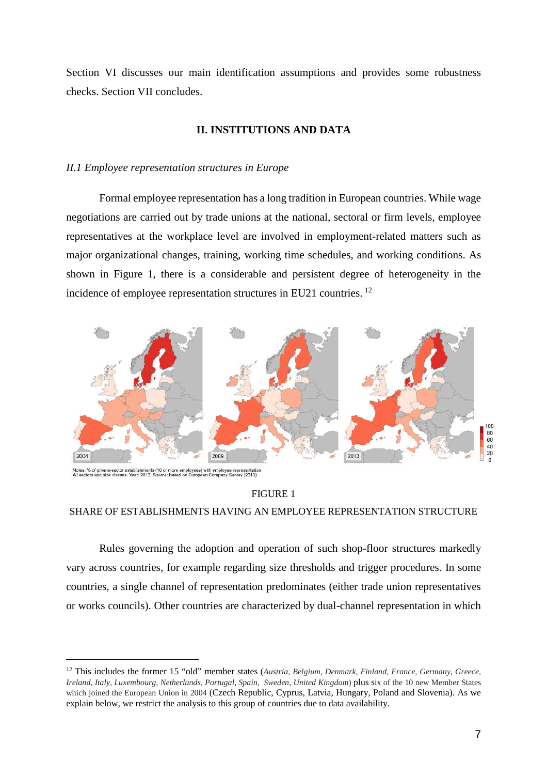Section VI discusses our main identification assumptions and provides some robustness checks. Section VII concludes.

### **II. INSTITUTIONS AND DATA**

### *II.1 Employee representation structures in Europe*

Formal employee representation has a long tradition in European countries. While wage negotiations are carried out by trade unions at the national, sectoral or firm levels, employee representatives at the workplace level are involved in employment-related matters such as major organizational changes, training, working time schedules, and working conditions. As shown in Figure 1, there is a considerable and persistent degree of heterogeneity in the incidence of employee representation structures in EU21 countries. <sup>12</sup>



Notes: % of private-sector establishments (10 or more employees) with employee representation<br>All sectors and size classes. Year: 2013. Source: based on European Company Survey (2013)

FIGURE 1 SHARE OF ESTABLISHMENTS HAVING AN EMPLOYEE REPRESENTATION STRUCTURE

Rules governing the adoption and operation of such shop-floor structures markedly vary across countries, for example regarding size thresholds and trigger procedures. In some countries, a single channel of representation predominates (either trade union representatives or works councils). Other countries are characterized by dual-channel representation in which

<sup>12</sup> This includes the former 15 "old" member states (*Austria, Belgium, Denmark, Finland, France, Germany, Greece, Ireland, Italy, Luxembourg, Netherlands, Portugal, Spain, Sweden, United Kingdom*) plus six of the 10 new Member States which joined the European Union in 2004 (Czech Republic, Cyprus, Latvia, Hungary, Poland and Slovenia). As we explain below, we restrict the analysis to this group of countries due to data availability.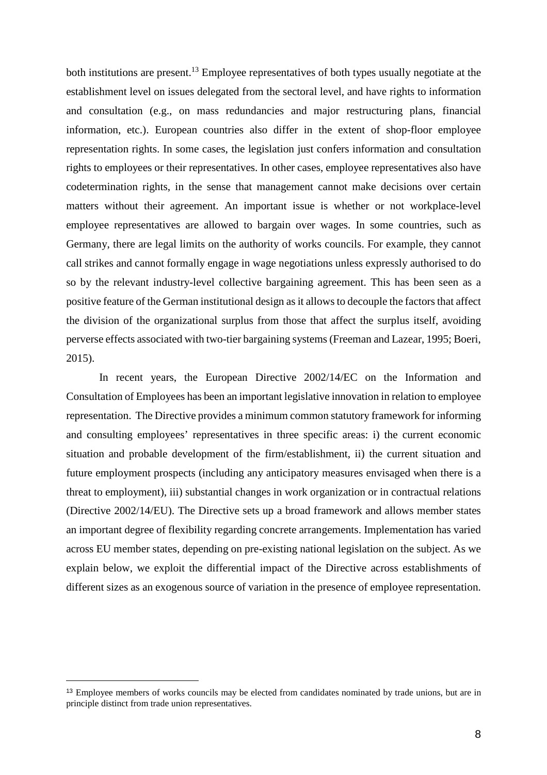both institutions are present.<sup>13</sup> Employee representatives of both types usually negotiate at the establishment level on issues delegated from the sectoral level, and have rights to information and consultation (e.g., on mass redundancies and major restructuring plans, financial information, etc.). European countries also differ in the extent of shop-floor employee representation rights. In some cases, the legislation just confers information and consultation rights to employees or their representatives. In other cases, employee representatives also have codetermination rights, in the sense that management cannot make decisions over certain matters without their agreement. An important issue is whether or not workplace-level employee representatives are allowed to bargain over wages. In some countries, such as Germany, there are legal limits on the authority of works councils. For example, they cannot call strikes and cannot formally engage in wage negotiations unless expressly authorised to do so by the relevant industry-level collective bargaining agreement. This has been seen as a positive feature of the German institutional design as it allows to decouple the factors that affect the division of the organizational surplus from those that affect the surplus itself, avoiding perverse effects associated with two-tier bargaining systems (Freeman and Lazear, 1995; Boeri, 2015).

In recent years, the European Directive 2002/14/EC on the Information and Consultation of Employees has been an important legislative innovation in relation to employee representation. The Directive provides a minimum common statutory framework for informing and consulting employees' representatives in three specific areas: i) the current economic situation and probable development of the firm/establishment, ii) the current situation and future employment prospects (including any anticipatory measures envisaged when there is a threat to employment), iii) substantial changes in work organization or in contractual relations (Directive 2002/14/EU). The Directive sets up a broad framework and allows member states an important degree of flexibility regarding concrete arrangements. Implementation has varied across EU member states, depending on pre-existing national legislation on the subject. As we explain below, we exploit the differential impact of the Directive across establishments of different sizes as an exogenous source of variation in the presence of employee representation.

<sup>&</sup>lt;sup>13</sup> Employee members of works councils may be elected from candidates nominated by trade unions, but are in principle distinct from trade union representatives.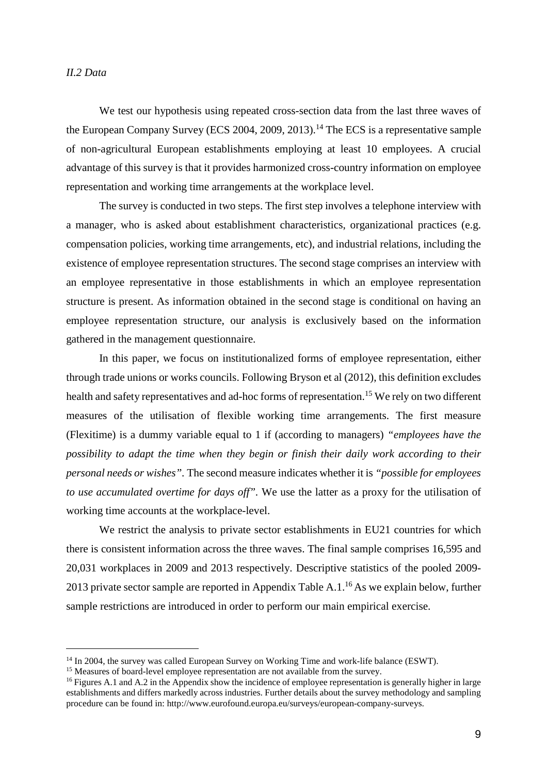### *II.2 Data*

We test our hypothesis using repeated cross-section data from the last three waves of the European Company Survey (ECS 2004, 2009, 2013).<sup>14</sup> The ECS is a representative sample of non-agricultural European establishments employing at least 10 employees. A crucial advantage of this survey is that it provides harmonized cross-country information on employee representation and working time arrangements at the workplace level.

The survey is conducted in two steps. The first step involves a telephone interview with a manager, who is asked about establishment characteristics, organizational practices (e.g. compensation policies, working time arrangements, etc), and industrial relations, including the existence of employee representation structures. The second stage comprises an interview with an employee representative in those establishments in which an employee representation structure is present. As information obtained in the second stage is conditional on having an employee representation structure, our analysis is exclusively based on the information gathered in the management questionnaire.

In this paper, we focus on institutionalized forms of employee representation, either through trade unions or works councils. Following Bryson et al (2012), this definition excludes health and safety representatives and ad-hoc forms of representation.<sup>15</sup> We rely on two different measures of the utilisation of flexible working time arrangements. The first measure (Flexitime) is a dummy variable equal to 1 if (according to managers) *"employees have the possibility to adapt the time when they begin or finish their daily work according to their personal needs or wishes".* The second measure indicates whether it is *"possible for employees to use accumulated overtime for days off".* We use the latter as a proxy for the utilisation of working time accounts at the workplace-level.

We restrict the analysis to private sector establishments in EU21 countries for which there is consistent information across the three waves. The final sample comprises 16,595 and 20,031 workplaces in 2009 and 2013 respectively. Descriptive statistics of the pooled 2009- 2013 private sector sample are reported in Appendix Table A.1.<sup>16</sup> As we explain below, further sample restrictions are introduced in order to perform our main empirical exercise.

<sup>&</sup>lt;sup>14</sup> In 2004, the survey was called European Survey on Working Time and work-life balance (ESWT).

<sup>&</sup>lt;sup>15</sup> Measures of board-level employee representation are not available from the survey.

<sup>&</sup>lt;sup>16</sup> Figures A.1 and A.2 in the Appendix show the incidence of employee representation is generally higher in large establishments and differs markedly across industries. Further details about the survey methodology and sampling procedure can be found in: http://www.eurofound.europa.eu/surveys/european-company-surveys.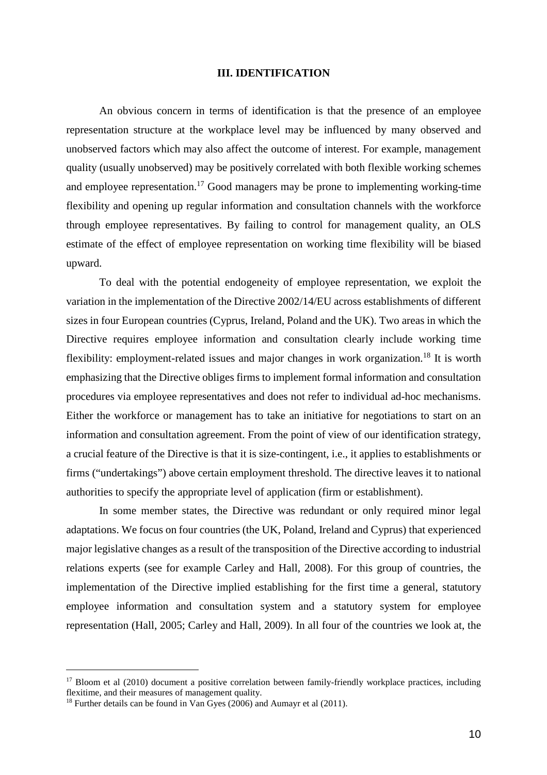### **III. IDENTIFICATION**

An obvious concern in terms of identification is that the presence of an employee representation structure at the workplace level may be influenced by many observed and unobserved factors which may also affect the outcome of interest. For example, management quality (usually unobserved) may be positively correlated with both flexible working schemes and employee representation.<sup>17</sup> Good managers may be prone to implementing working-time flexibility and opening up regular information and consultation channels with the workforce through employee representatives. By failing to control for management quality, an OLS estimate of the effect of employee representation on working time flexibility will be biased upward.

To deal with the potential endogeneity of employee representation, we exploit the variation in the implementation of the Directive 2002/14/EU across establishments of different sizes in four European countries (Cyprus, Ireland, Poland and the UK). Two areas in which the Directive requires employee information and consultation clearly include working time flexibility: employment-related issues and major changes in work organization.<sup>18</sup> It is worth emphasizing that the Directive obliges firms to implement formal information and consultation procedures via employee representatives and does not refer to individual ad-hoc mechanisms. Either the workforce or management has to take an initiative for negotiations to start on an information and consultation agreement. From the point of view of our identification strategy, a crucial feature of the Directive is that it is size-contingent, i.e., it applies to establishments or firms ("undertakings") above certain employment threshold. The directive leaves it to national authorities to specify the appropriate level of application (firm or establishment).

In some member states, the Directive was redundant or only required minor legal adaptations. We focus on four countries (the UK, Poland, Ireland and Cyprus) that experienced major legislative changes as a result of the transposition of the Directive according to industrial relations experts (see for example Carley and Hall, 2008). For this group of countries, the implementation of the Directive implied establishing for the first time a general, statutory employee information and consultation system and a statutory system for employee representation (Hall, 2005; Carley and Hall, 2009). In all four of the countries we look at, the

<sup>&</sup>lt;sup>17</sup> Bloom et al (2010) document a positive correlation between family-friendly workplace practices, including flexitime, and their measures of management quality.

<sup>&</sup>lt;sup>18</sup> Further details can be found in Van Gyes (2006) and Aumayr et al (2011).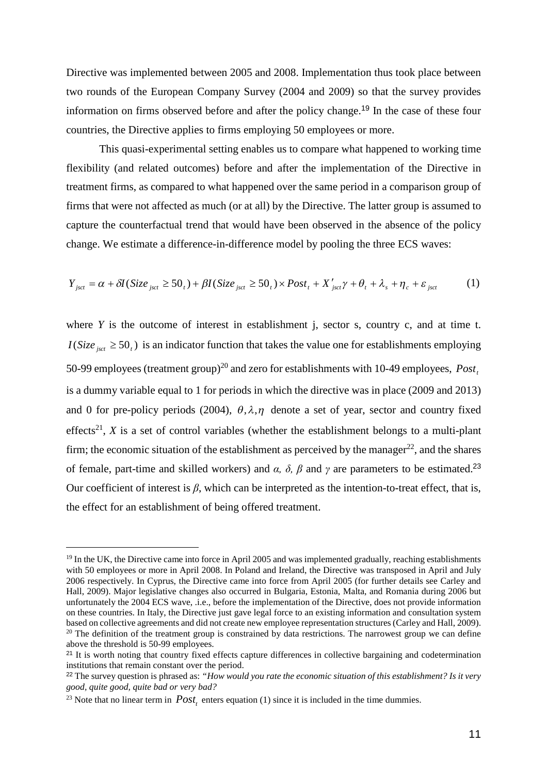Directive was implemented between 2005 and 2008. Implementation thus took place between two rounds of the European Company Survey (2004 and 2009) so that the survey provides information on firms observed before and after the policy change.<sup>19</sup> In the case of these four countries, the Directive applies to firms employing 50 employees or more.

This quasi-experimental setting enables us to compare what happened to working time flexibility (and related outcomes) before and after the implementation of the Directive in treatment firms, as compared to what happened over the same period in a comparison group of firms that were not affected as much (or at all) by the Directive. The latter group is assumed to capture the counterfactual trend that would have been observed in the absence of the policy change. We estimate a difference-in-difference model by pooling the three ECS waves:

$$
Y_{\text{jsct}} = \alpha + \delta I(\text{Size}_{\text{jsct}} \ge 50_t) + \beta I(\text{Size}_{\text{jsct}} \ge 50_t) \times \text{Post}_t + X_{\text{jsct}}' \gamma + \theta_t + \lambda_s + \eta_c + \varepsilon_{\text{jsct}} \tag{1}
$$

where *Y* is the outcome of interest in establishment *j*, sector *s*, country *c*, and at time *t*.  $I(Size<sub>jset</sub> \ge 50<sub>t</sub>)$  is an indicator function that takes the value one for establishments employing 50-99 employees (treatment group)<sup>20</sup> and zero for establishments with 10-49 employees, *Post<sup>t</sup>* is a dummy variable equal to 1 for periods in which the directive was in place (2009 and 2013) and 0 for pre-policy periods (2004),  $\theta$ ,  $\lambda$ ,  $\eta$  denote a set of year, sector and country fixed effects<sup>21</sup>,  $X$  is a set of control variables (whether the establishment belongs to a multi-plant firm; the economic situation of the establishment as perceived by the manager<sup>22</sup>, and the shares of female, part-time and skilled workers) and  $\alpha$ ,  $\delta$ ,  $\beta$  and  $\gamma$  are parameters to be estimated.<sup>23</sup> Our coefficient of interest is  $\beta$ , which can be interpreted as the intention-to-treat effect, that is, the effect for an establishment of being offered treatment.

 $19$  In the UK, the Directive came into force in April 2005 and was implemented gradually, reaching establishments with 50 employees or more in April 2008. In Poland and Ireland, the Directive was transposed in April and July 2006 respectively. In Cyprus, the Directive came into force from April 2005 (for further details see Carley and Hall, 2009). Major legislative changes also occurred in Bulgaria, Estonia, Malta, and Romania during 2006 but unfortunately the 2004 ECS wave, .i.e., before the implementation of the Directive, does not provide information on these countries. In Italy, the Directive just gave legal force to an existing information and consultation system based on collective agreements and did not create new employee representation structures (Carley and Hall, 2009). <sup>20</sup> The definition of the treatment group is constrained by data restrictions. The narrowest group we can define above the threshold is 50-99 employees.

<sup>&</sup>lt;sup>21</sup> It is worth noting that country fixed effects capture differences in collective bargaining and codetermination institutions that remain constant over the period.

<sup>22</sup> The survey question is phrased as: *"How would you rate the economic situation of this establishment? Is it very good, quite good, quite bad or very bad?*

<sup>&</sup>lt;sup>23</sup> Note that no linear term in  $Post<sub>t</sub>$  enters equation (1) since it is included in the time dummies.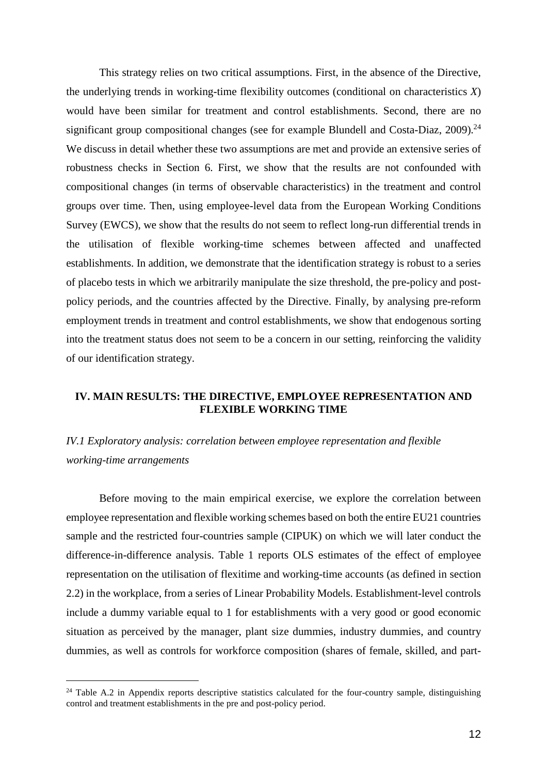This strategy relies on two critical assumptions. First, in the absence of the Directive, the underlying trends in working-time flexibility outcomes (conditional on characteristics *X*) would have been similar for treatment and control establishments. Second, there are no significant group compositional changes (see for example Blundell and Costa-Diaz,  $2009$ ).<sup>24</sup> We discuss in detail whether these two assumptions are met and provide an extensive series of robustness checks in Section 6. First, we show that the results are not confounded with compositional changes (in terms of observable characteristics) in the treatment and control groups over time. Then, using employee-level data from the European Working Conditions Survey (EWCS), we show that the results do not seem to reflect long-run differential trends in the utilisation of flexible working-time schemes between affected and unaffected establishments. In addition, we demonstrate that the identification strategy is robust to a series of placebo tests in which we arbitrarily manipulate the size threshold, the pre-policy and postpolicy periods, and the countries affected by the Directive. Finally, by analysing pre-reform employment trends in treatment and control establishments, we show that endogenous sorting into the treatment status does not seem to be a concern in our setting, reinforcing the validity of our identification strategy.

### **IV. MAIN RESULTS: THE DIRECTIVE, EMPLOYEE REPRESENTATION AND FLEXIBLE WORKING TIME**

## *IV.1 Exploratory analysis: correlation between employee representation and flexible working-time arrangements*

Before moving to the main empirical exercise, we explore the correlation between employee representation and flexible working schemes based on both the entire EU21 countries sample and the restricted four-countries sample (CIPUK) on which we will later conduct the difference-in-difference analysis. Table 1 reports OLS estimates of the effect of employee representation on the utilisation of flexitime and working-time accounts (as defined in section 2.2) in the workplace, from a series of Linear Probability Models. Establishment-level controls include a dummy variable equal to 1 for establishments with a very good or good economic situation as perceived by the manager, plant size dummies, industry dummies, and country dummies, as well as controls for workforce composition (shares of female, skilled, and part-

<sup>&</sup>lt;sup>24</sup> Table A.2 in Appendix reports descriptive statistics calculated for the four-country sample, distinguishing control and treatment establishments in the pre and post-policy period.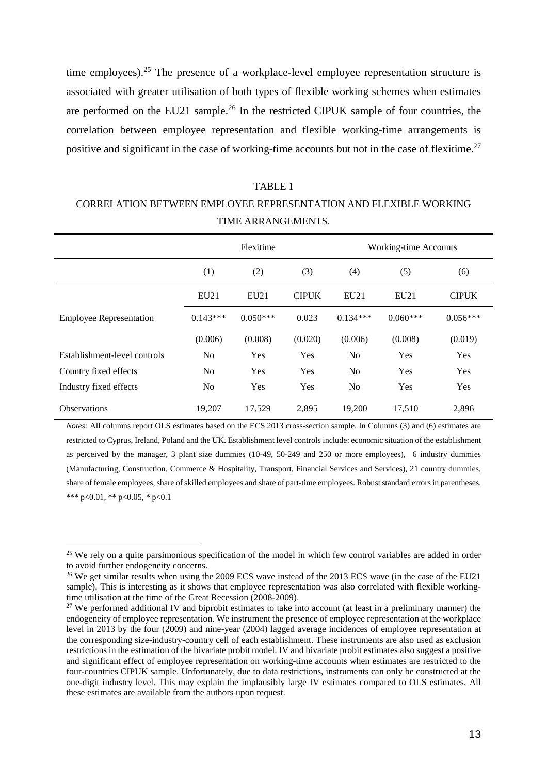time employees).<sup>25</sup> The presence of a workplace-level employee representation structure is associated with greater utilisation of both types of flexible working schemes when estimates are performed on the EU21 sample.<sup>26</sup> In the restricted CIPUK sample of four countries, the correlation between employee representation and flexible working-time arrangements is positive and significant in the case of working-time accounts but not in the case of flexitime.<sup>27</sup>

## TABLE 1 CORRELATION BETWEEN EMPLOYEE REPRESENTATION AND FLEXIBLE WORKING TIME ARRANGEMENTS.

|                                |                | Flexitime  |              |                | Working-time Accounts |              |
|--------------------------------|----------------|------------|--------------|----------------|-----------------------|--------------|
|                                | (1)            | (2)        | (3)          | (4)            | (5)                   | (6)          |
|                                | EU21           | EU21       | <b>CIPUK</b> | EU21           | EU21                  | <b>CIPUK</b> |
| <b>Employee Representation</b> | $0.143***$     | $0.050***$ | 0.023        | $0.134***$     | $0.060***$            | $0.056***$   |
|                                | (0.006)        | (0.008)    | (0.020)      | (0.006)        | (0.008)               | (0.019)      |
| Establishment-level controls   | N <sub>0</sub> | Yes        | Yes          | N <sub>0</sub> | Yes                   | Yes          |
| Country fixed effects          | N <sub>0</sub> | <b>Yes</b> | Yes          | N <sub>0</sub> | Yes                   | Yes          |
| Industry fixed effects         | N <sub>0</sub> | Yes        | Yes          | No             | Yes                   | Yes          |
| <b>Observations</b>            | 19,207         | 17,529     | 2,895        | 19,200         | 17,510                | 2,896        |

*Notes:* All columns report OLS estimates based on the ECS 2013 cross-section sample. In Columns (3) and (6) estimates are restricted to Cyprus, Ireland, Poland and the UK. Establishment level controls include: economic situation of the establishment as perceived by the manager, 3 plant size dummies (10-49, 50-249 and 250 or more employees), 6 industry dummies (Manufacturing, Construction, Commerce & Hospitality, Transport, Financial Services and Services), 21 country dummies, share of female employees, share of skilled employees and share of part-time employees. Robust standard errors in parentheses. \*\*\* p<0.01, \*\* p<0.05, \* p<0.1

<sup>&</sup>lt;sup>25</sup> We rely on a quite parsimonious specification of the model in which few control variables are added in order to avoid further endogeneity concerns.

<sup>&</sup>lt;sup>26</sup> We get similar results when using the 2009 ECS wave instead of the 2013 ECS wave (in the case of the EU21 sample). This is interesting as it shows that employee representation was also correlated with flexible workingtime utilisation at the time of the Great Recession (2008-2009).

 $27$  We performed additional IV and biprobit estimates to take into account (at least in a preliminary manner) the endogeneity of employee representation. We instrument the presence of employee representation at the workplace level in 2013 by the four (2009) and nine-year (2004) lagged average incidences of employee representation at the corresponding size-industry-country cell of each establishment. These instruments are also used as exclusion restrictions in the estimation of the bivariate probit model. IV and bivariate probit estimates also suggest a positive and significant effect of employee representation on working-time accounts when estimates are restricted to the four-countries CIPUK sample. Unfortunately, due to data restrictions, instruments can only be constructed at the one-digit industry level. This may explain the implausibly large IV estimates compared to OLS estimates. All these estimates are available from the authors upon request.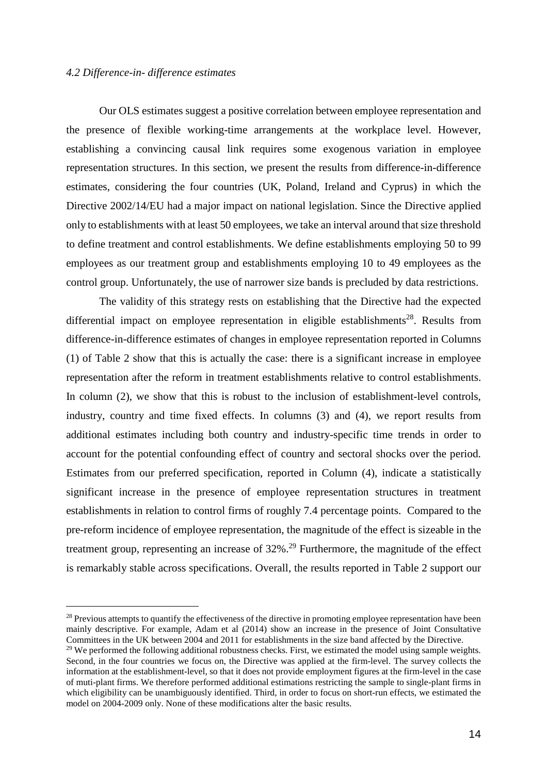### *4.2 Difference-in- difference estimates*

Our OLS estimates suggest a positive correlation between employee representation and the presence of flexible working-time arrangements at the workplace level. However, establishing a convincing causal link requires some exogenous variation in employee representation structures. In this section, we present the results from difference-in-difference estimates, considering the four countries (UK, Poland, Ireland and Cyprus) in which the Directive 2002/14/EU had a major impact on national legislation. Since the Directive applied only to establishments with at least 50 employees, we take an interval around that size threshold to define treatment and control establishments. We define establishments employing 50 to 99 employees as our treatment group and establishments employing 10 to 49 employees as the control group. Unfortunately, the use of narrower size bands is precluded by data restrictions.

The validity of this strategy rests on establishing that the Directive had the expected differential impact on employee representation in eligible establishments<sup>28</sup>. Results from difference-in-difference estimates of changes in employee representation reported in Columns (1) of Table 2 show that this is actually the case: there is a significant increase in employee representation after the reform in treatment establishments relative to control establishments. In column (2), we show that this is robust to the inclusion of establishment-level controls, industry, country and time fixed effects. In columns (3) and (4), we report results from additional estimates including both country and industry-specific time trends in order to account for the potential confounding effect of country and sectoral shocks over the period. Estimates from our preferred specification, reported in Column (4), indicate a statistically significant increase in the presence of employee representation structures in treatment establishments in relation to control firms of roughly 7.4 percentage points. Compared to the pre-reform incidence of employee representation, the magnitude of the effect is sizeable in the treatment group, representing an increase of  $32\%$ .<sup>29</sup> Furthermore, the magnitude of the effect is remarkably stable across specifications. Overall, the results reported in Table 2 support our

<sup>&</sup>lt;sup>28</sup> Previous attempts to quantify the effectiveness of the directive in promoting employee representation have been mainly descriptive. For example, Adam et al (2014) show an increase in the presence of Joint Consultative Committees in the UK between 2004 and 2011 for establishments in the size band affected by the Directive.

 $^{29}$  We performed the following additional robustness checks. First, we estimated the model using sample weights. Second, in the four countries we focus on, the Directive was applied at the firm-level. The survey collects the information at the establishment-level, so that it does not provide employment figures at the firm-level in the case of muti-plant firms. We therefore performed additional estimations restricting the sample to single-plant firms in which eligibility can be unambiguously identified. Third, in order to focus on short-run effects, we estimated the model on 2004-2009 only. None of these modifications alter the basic results.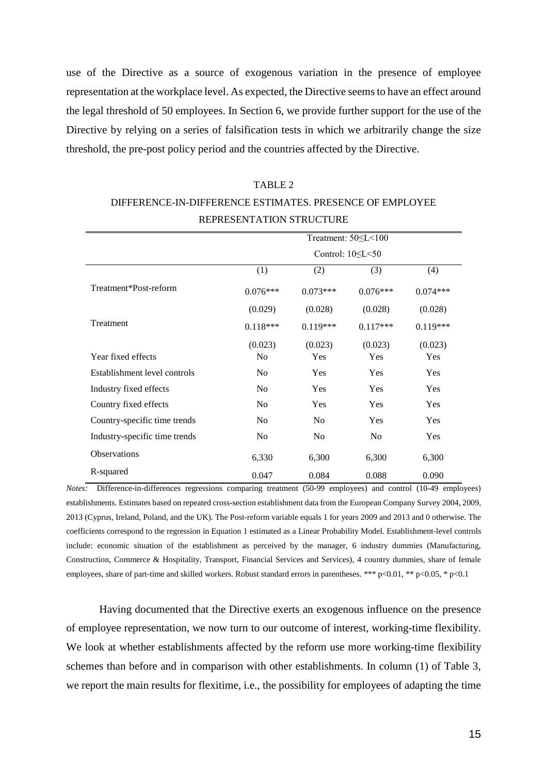use of the Directive as a source of exogenous variation in the presence of employee representation at the workplace level. As expected, the Directive seems to have an effect around the legal threshold of 50 employees. In Section 6, we provide further support for the use of the Directive by relying on a series of falsification tests in which we arbitrarily change the size threshold, the pre-post policy period and the countries affected by the Directive.

# Treatment: 50≤L<100 Control: 10≤L<50 (1)  $(2)$   $(3)$   $(4)$ Treatment\*Post-reform 0.076\*\*\* 0.073\*\*\* 0.076\*\*\* 0.076\*\*\* 0.074\*\*\*  $(0.029)$   $(0.028)$   $(0.028)$   $(0.028)$ Treatment 0.118\*\*\* 0.119\*\*\* 0.117\*\*\* 0.119\*\*\*  $(0.023)$   $(0.023)$   $(0.023)$   $(0.023)$ Year fixed effects Tes No Yes Yes Yes Yes Yes Establishment level controls No Yes Yes Yes Industry fixed effects No Yes Yes Yes Yes Country fixed effects No Yes Yes Yes Country-specific time trends No No Yes Yes Industry-specific time trends No No No Yes Observations 6,330 6,300 6,300 6,300 6,300 R-squared 0.047 0.084 0.088 0.090

# DIFFERENCE-IN-DIFFERENCE ESTIMATES. PRESENCE OF EMPLOYEE REPRESENTATION STRUCTURE

TABLE 2

*Notes:* Difference-in-differences regressions comparing treatment (50-99 employees) and control (10-49 employees) establishments. Estimates based on repeated cross-section establishment data from the European Company Survey 2004, 2009, 2013 (Cyprus, Ireland, Poland, and the UK). The Post-reform variable equals 1 for years 2009 and 2013 and 0 otherwise. The coefficients correspond to the regression in Equation 1 estimated as a Linear Probability Model. Establishment-level controls include: economic situation of the establishment as perceived by the manager, 6 industry dummies (Manufacturing, Construction, Commerce & Hospitality, Transport, Financial Services and Services), 4 country dummies, share of female employees, share of part-time and skilled workers. Robust standard errors in parentheses. \*\*\* p<0.01, \*\* p<0.05, \* p<0.1

Having documented that the Directive exerts an exogenous influence on the presence of employee representation, we now turn to our outcome of interest, working-time flexibility. We look at whether establishments affected by the reform use more working-time flexibility schemes than before and in comparison with other establishments. In column (1) of Table 3, we report the main results for flexitime, i.e., the possibility for employees of adapting the time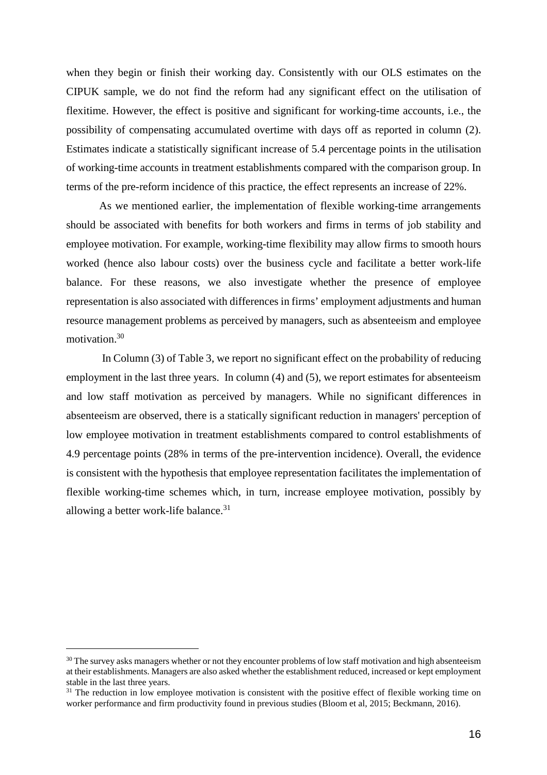when they begin or finish their working day. Consistently with our OLS estimates on the CIPUK sample, we do not find the reform had any significant effect on the utilisation of flexitime. However, the effect is positive and significant for working-time accounts, i.e., the possibility of compensating accumulated overtime with days off as reported in column (2). Estimates indicate a statistically significant increase of 5.4 percentage points in the utilisation of working-time accounts in treatment establishments compared with the comparison group. In terms of the pre-reform incidence of this practice, the effect represents an increase of 22%.

As we mentioned earlier, the implementation of flexible working-time arrangements should be associated with benefits for both workers and firms in terms of job stability and employee motivation. For example, working-time flexibility may allow firms to smooth hours worked (hence also labour costs) over the business cycle and facilitate a better work-life balance. For these reasons, we also investigate whether the presence of employee representation is also associated with differences in firms' employment adjustments and human resource management problems as perceived by managers, such as absenteeism and employee motivation.<sup>30</sup>

In Column (3) of Table 3, we report no significant effect on the probability of reducing employment in the last three years. In column (4) and (5), we report estimates for absenteeism and low staff motivation as perceived by managers. While no significant differences in absenteeism are observed, there is a statically significant reduction in managers' perception of low employee motivation in treatment establishments compared to control establishments of 4.9 percentage points (28% in terms of the pre-intervention incidence). Overall, the evidence is consistent with the hypothesis that employee representation facilitates the implementation of flexible working-time schemes which, in turn, increase employee motivation, possibly by allowing a better work-life balance.<sup>31</sup>

<sup>&</sup>lt;sup>30</sup> The survey asks managers whether or not they encounter problems of low staff motivation and high absenteeism at their establishments. Managers are also asked whether the establishment reduced, increased or kept employment stable in the last three years.

 $31$  The reduction in low employee motivation is consistent with the positive effect of flexible working time on worker performance and firm productivity found in previous studies (Bloom et al, 2015; Beckmann, 2016).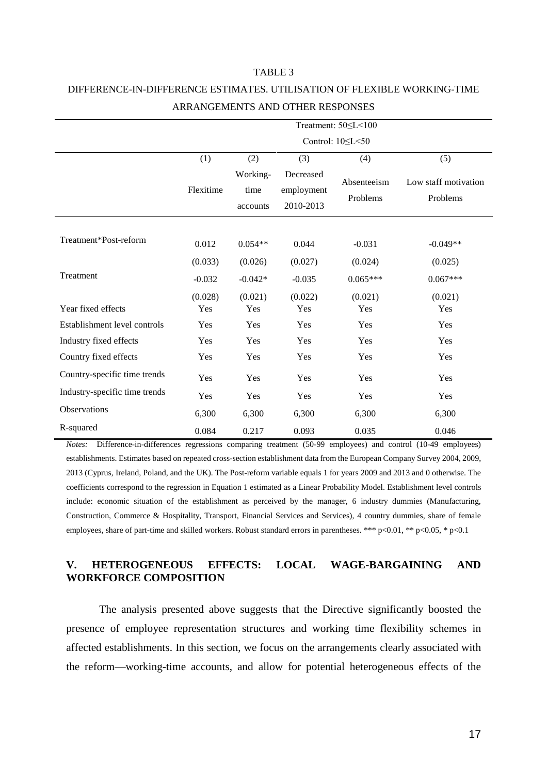### TABLE 3

## DIFFERENCE-IN-DIFFERENCE ESTIMATES. UTILISATION OF FLEXIBLE WORKING-TIME ARRANGEMENTS AND OTHER RESPONSES

|                               | Treatment: 50 <<<<100                     |           |                                      |                         |                                  |  |  |  |
|-------------------------------|-------------------------------------------|-----------|--------------------------------------|-------------------------|----------------------------------|--|--|--|
|                               |                                           |           |                                      | Control: 10 << 50       |                                  |  |  |  |
|                               | (1)                                       | (2)       | (3)                                  | (4)                     | (5)                              |  |  |  |
|                               | Working-<br>Flexitime<br>time<br>accounts |           | Decreased<br>employment<br>2010-2013 | Absenteeism<br>Problems | Low staff motivation<br>Problems |  |  |  |
| Treatment*Post-reform         | 0.012                                     | $0.054**$ | 0.044                                | $-0.031$                | $-0.049**$                       |  |  |  |
|                               | (0.033)                                   | (0.026)   | (0.027)                              | (0.024)                 | (0.025)                          |  |  |  |
| Treatment                     | $-0.032$                                  | $-0.042*$ | $-0.035$                             | $0.065***$              | $0.067***$                       |  |  |  |
|                               | (0.028)                                   | (0.021)   | (0.022)                              | (0.021)                 | (0.021)                          |  |  |  |
| Year fixed effects            | Yes                                       | Yes       | Yes                                  | Yes                     | Yes                              |  |  |  |
| Establishment level controls  | Yes                                       | Yes       | Yes                                  | Yes                     | Yes                              |  |  |  |
| Industry fixed effects        | Yes                                       | Yes       | Yes                                  | Yes                     | Yes                              |  |  |  |
| Country fixed effects         | Yes                                       | Yes       | Yes                                  | Yes                     | Yes                              |  |  |  |
| Country-specific time trends  | Yes                                       | Yes       | Yes                                  | Yes                     | Yes                              |  |  |  |
| Industry-specific time trends | Yes                                       | Yes       | Yes                                  | Yes                     | Yes                              |  |  |  |
| Observations                  | 6,300                                     | 6,300     | 6,300                                | 6,300                   | 6,300                            |  |  |  |
| R-squared                     | 0.084                                     | 0.217     | 0.093                                | 0.035                   | 0.046                            |  |  |  |

*Notes:* Difference-in-differences regressions comparing treatment (50-99 employees) and control (10-49 employees) establishments. Estimates based on repeated cross-section establishment data from the European Company Survey 2004, 2009, 2013 (Cyprus, Ireland, Poland, and the UK). The Post-reform variable equals 1 for years 2009 and 2013 and 0 otherwise. The coefficients correspond to the regression in Equation 1 estimated as a Linear Probability Model. Establishment level controls include: economic situation of the establishment as perceived by the manager, 6 industry dummies (Manufacturing, Construction, Commerce & Hospitality, Transport, Financial Services and Services), 4 country dummies, share of female employees, share of part-time and skilled workers. Robust standard errors in parentheses. \*\*\* p<0.01, \*\* p<0.05, \* p<0.1

### **V. HETEROGENEOUS EFFECTS: LOCAL WAGE-BARGAINING AND WORKFORCE COMPOSITION**

The analysis presented above suggests that the Directive significantly boosted the presence of employee representation structures and working time flexibility schemes in affected establishments. In this section, we focus on the arrangements clearly associated with the reform—working-time accounts, and allow for potential heterogeneous effects of the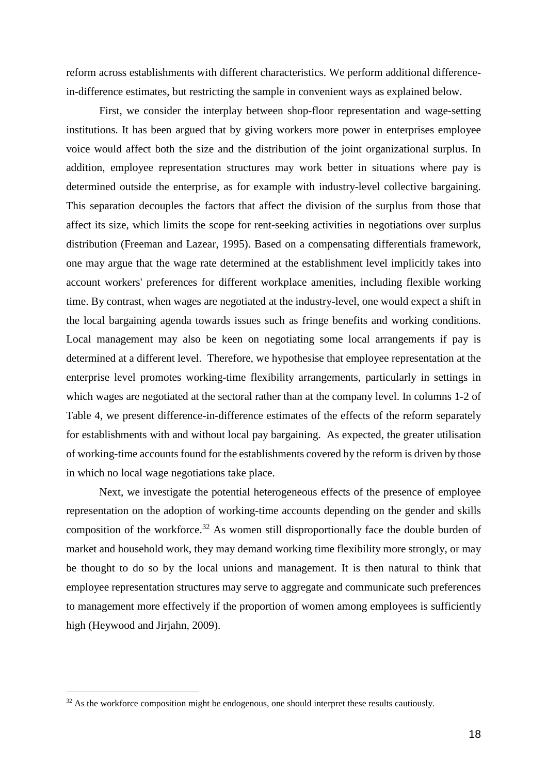reform across establishments with different characteristics. We perform additional differencein-difference estimates, but restricting the sample in convenient ways as explained below.

First, we consider the interplay between shop-floor representation and wage-setting institutions. It has been argued that by giving workers more power in enterprises employee voice would affect both the size and the distribution of the joint organizational surplus. In addition, employee representation structures may work better in situations where pay is determined outside the enterprise, as for example with industry-level collective bargaining. This separation decouples the factors that affect the division of the surplus from those that affect its size, which limits the scope for rent-seeking activities in negotiations over surplus distribution (Freeman and Lazear, 1995). Based on a compensating differentials framework, one may argue that the wage rate determined at the establishment level implicitly takes into account workers' preferences for different workplace amenities, including flexible working time. By contrast, when wages are negotiated at the industry-level, one would expect a shift in the local bargaining agenda towards issues such as fringe benefits and working conditions. Local management may also be keen on negotiating some local arrangements if pay is determined at a different level. Therefore, we hypothesise that employee representation at the enterprise level promotes working-time flexibility arrangements, particularly in settings in which wages are negotiated at the sectoral rather than at the company level. In columns 1-2 of Table 4, we present difference-in-difference estimates of the effects of the reform separately for establishments with and without local pay bargaining. As expected, the greater utilisation of working-time accounts found for the establishments covered by the reform is driven by those in which no local wage negotiations take place.

Next, we investigate the potential heterogeneous effects of the presence of employee representation on the adoption of working-time accounts depending on the gender and skills composition of the workforce.<sup>32</sup> As women still disproportionally face the double burden of market and household work, they may demand working time flexibility more strongly, or may be thought to do so by the local unions and management. It is then natural to think that employee representation structures may serve to aggregate and communicate such preferences to management more effectively if the proportion of women among employees is sufficiently high (Heywood and Jirjahn, 2009).

 $32$  As the workforce composition might be endogenous, one should interpret these results cautiously.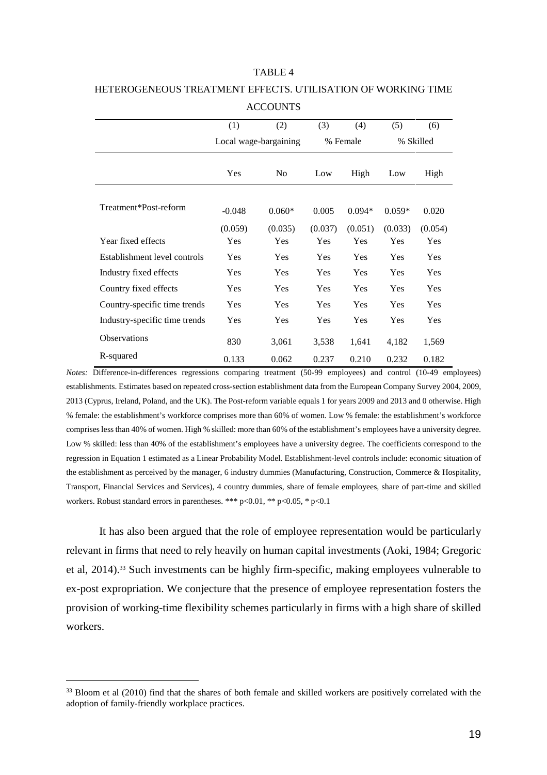#### TABLE 4

|                               | (1)<br>(2)            |                | (3)     | (4)      | (5)        | (6)        |
|-------------------------------|-----------------------|----------------|---------|----------|------------|------------|
|                               | Local wage-bargaining |                |         | % Female |            | % Skilled  |
|                               | Yes                   | N <sub>0</sub> | Low     | High     | Low        | High       |
| Treatment*Post-reform         | $-0.048$              | $0.060*$       | 0.005   | $0.094*$ | $0.059*$   | 0.020      |
|                               | (0.059)               | (0.035)        | (0.037) | (0.051)  | (0.033)    | (0.054)    |
| Year fixed effects            | Yes                   | Yes            | Yes     | Yes      | Yes        | Yes        |
| Establishment level controls  | Yes                   | Yes            | Yes     | Yes      | <b>Yes</b> | <b>Yes</b> |
| Industry fixed effects        | <b>Yes</b>            | Yes            | Yes     | Yes      | Yes        | <b>Yes</b> |
| Country fixed effects         | Yes                   | Yes            | Yes     | Yes      | Yes        | Yes        |
| Country-specific time trends  | Yes                   | Yes            | Yes     | Yes      | <b>Yes</b> | <b>Yes</b> |
| Industry-specific time trends | Yes                   | Yes            | Yes     | Yes      | Yes        | Yes        |
| <b>Observations</b>           | 830                   | 3,061          | 3,538   | 1,641    | 4,182      | 1,569      |
| R-squared                     | 0.133                 | 0.062          | 0.237   | 0.210    | 0.232      | 0.182      |

### HETEROGENEOUS TREATMENT EFFECTS. UTILISATION OF WORKING TIME **ACCOUNTS**

*Notes:* Difference-in-differences regressions comparing treatment (50-99 employees) and control (10-49 employees) establishments. Estimates based on repeated cross-section establishment data from the European Company Survey 2004, 2009, 2013 (Cyprus, Ireland, Poland, and the UK). The Post-reform variable equals 1 for years 2009 and 2013 and 0 otherwise. High % female: the establishment's workforce comprises more than 60% of women. Low % female: the establishment's workforce comprises less than 40% of women. High % skilled: more than 60% of the establishment's employees have a university degree. Low % skilled: less than 40% of the establishment's employees have a university degree. The coefficients correspond to the regression in Equation 1 estimated as a Linear Probability Model. Establishment-level controls include: economic situation of the establishment as perceived by the manager, 6 industry dummies (Manufacturing, Construction, Commerce & Hospitality, Transport, Financial Services and Services), 4 country dummies, share of female employees, share of part-time and skilled workers. Robust standard errors in parentheses. \*\*\*  $p<0.01$ , \*\*  $p<0.05$ , \*  $p<0.1$ 

It has also been argued that the role of employee representation would be particularly relevant in firms that need to rely heavily on human capital investments (Aoki, 1984; Gregoric et al, 2014).<sup>33</sup> Such investments can be highly firm-specific, making employees vulnerable to ex-post expropriation. We conjecture that the presence of employee representation fosters the provision of working-time flexibility schemes particularly in firms with a high share of skilled workers.

<sup>&</sup>lt;sup>33</sup> Bloom et al (2010) find that the shares of both female and skilled workers are positively correlated with the adoption of family-friendly workplace practices.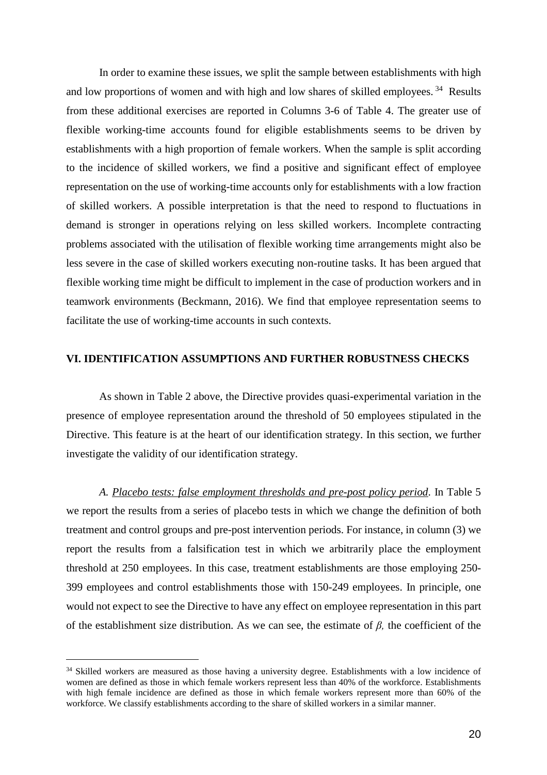In order to examine these issues, we split the sample between establishments with high and low proportions of women and with high and low shares of skilled employees.<sup>34</sup> Results from these additional exercises are reported in Columns 3-6 of Table 4. The greater use of flexible working-time accounts found for eligible establishments seems to be driven by establishments with a high proportion of female workers. When the sample is split according to the incidence of skilled workers, we find a positive and significant effect of employee representation on the use of working-time accounts only for establishments with a low fraction of skilled workers. A possible interpretation is that the need to respond to fluctuations in demand is stronger in operations relying on less skilled workers. Incomplete contracting problems associated with the utilisation of flexible working time arrangements might also be less severe in the case of skilled workers executing non-routine tasks. It has been argued that flexible working time might be difficult to implement in the case of production workers and in teamwork environments (Beckmann, 2016). We find that employee representation seems to facilitate the use of working-time accounts in such contexts.

### **VI. IDENTIFICATION ASSUMPTIONS AND FURTHER ROBUSTNESS CHECKS**

As shown in Table 2 above, the Directive provides quasi-experimental variation in the presence of employee representation around the threshold of 50 employees stipulated in the Directive. This feature is at the heart of our identification strategy. In this section, we further investigate the validity of our identification strategy.

*A. Placebo tests: false employment thresholds and pre-post policy period*. In Table 5 we report the results from a series of placebo tests in which we change the definition of both treatment and control groups and pre-post intervention periods. For instance, in column (3) we report the results from a falsification test in which we arbitrarily place the employment threshold at 250 employees. In this case, treatment establishments are those employing 250- 399 employees and control establishments those with 150-249 employees. In principle, one would not expect to see the Directive to have any effect on employee representation in this part of the establishment size distribution. As we can see, the estimate of *β,* the coefficient of the

<sup>&</sup>lt;sup>34</sup> Skilled workers are measured as those having a university degree. Establishments with a low incidence of women are defined as those in which female workers represent less than 40% of the workforce. Establishments with high female incidence are defined as those in which female workers represent more than 60% of the workforce. We classify establishments according to the share of skilled workers in a similar manner.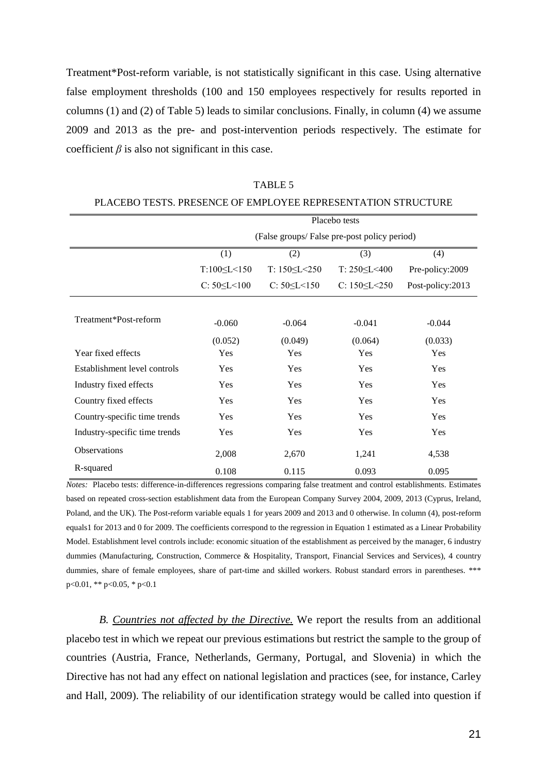Treatment\*Post-reform variable, is not statistically significant in this case. Using alternative false employment thresholds (100 and 150 employees respectively for results reported in columns (1) and (2) of Table 5) leads to similar conclusions. Finally, in column (4) we assume 2009 and 2013 as the pre- and post-intervention periods respectively. The estimate for coefficient  $\beta$  is also not significant in this case.

|                               | Placebo tests         |                                             |                        |                  |  |  |  |  |  |  |
|-------------------------------|-----------------------|---------------------------------------------|------------------------|------------------|--|--|--|--|--|--|
|                               |                       | (False groups/False pre-post policy period) |                        |                  |  |  |  |  |  |  |
|                               | (1)                   | (2)                                         | (3)                    | (4)              |  |  |  |  |  |  |
|                               | $T:100 \le L < 150$   | $T: 150 \le L \le 250$                      | T: $250 \le L \le 400$ | Pre-policy:2009  |  |  |  |  |  |  |
|                               | $C: 50 \le L \le 100$ | $C: 50 \le L < 150$                         | C: $150 \le L \le 250$ | Post-policy:2013 |  |  |  |  |  |  |
|                               |                       |                                             |                        |                  |  |  |  |  |  |  |
| Treatment*Post-reform         | $-0.060$              | $-0.064$                                    | $-0.041$               | $-0.044$         |  |  |  |  |  |  |
|                               | (0.052)               | (0.049)                                     | (0.064)                | (0.033)          |  |  |  |  |  |  |
| Year fixed effects            | Yes                   | Yes                                         | Yes                    | Yes              |  |  |  |  |  |  |
| Establishment level controls  | Yes                   | Yes                                         | Yes                    | Yes              |  |  |  |  |  |  |
| Industry fixed effects        | Yes                   | Yes                                         | Yes                    | Yes              |  |  |  |  |  |  |
| Country fixed effects         | Yes                   | Yes                                         | Yes                    | Yes              |  |  |  |  |  |  |
| Country-specific time trends  | Yes                   | Yes                                         | Yes                    | Yes              |  |  |  |  |  |  |
| Industry-specific time trends | Yes                   | Yes                                         | Yes                    | Yes              |  |  |  |  |  |  |
| <b>Observations</b>           | 2,008                 | 2,670                                       | 1,241                  | 4,538            |  |  |  |  |  |  |
| R-squared                     | 0.108                 | 0.115                                       | 0.093                  | 0.095            |  |  |  |  |  |  |

TABLE 5 PLACEBO TESTS. PRESENCE OF EMPLOYEE REPRESENTATION STRUCTURE

*Notes:* Placebo tests: difference-in-differences regressions comparing false treatment and control establishments. Estimates based on repeated cross-section establishment data from the European Company Survey 2004, 2009, 2013 (Cyprus, Ireland, Poland, and the UK). The Post-reform variable equals 1 for years 2009 and 2013 and 0 otherwise. In column (4), post-reform equals1 for 2013 and 0 for 2009. The coefficients correspond to the regression in Equation 1 estimated as a Linear Probability Model. Establishment level controls include: economic situation of the establishment as perceived by the manager, 6 industry dummies (Manufacturing, Construction, Commerce & Hospitality, Transport, Financial Services and Services), 4 country dummies, share of female employees, share of part-time and skilled workers. Robust standard errors in parentheses. \*\*\* p<0.01, \*\* p<0.05, \* p<0.1

*B. Countries not affected by the Directive.* We report the results from an additional placebo test in which we repeat our previous estimations but restrict the sample to the group of countries (Austria, France, Netherlands, Germany, Portugal, and Slovenia) in which the Directive has not had any effect on national legislation and practices (see, for instance, Carley and Hall, 2009). The reliability of our identification strategy would be called into question if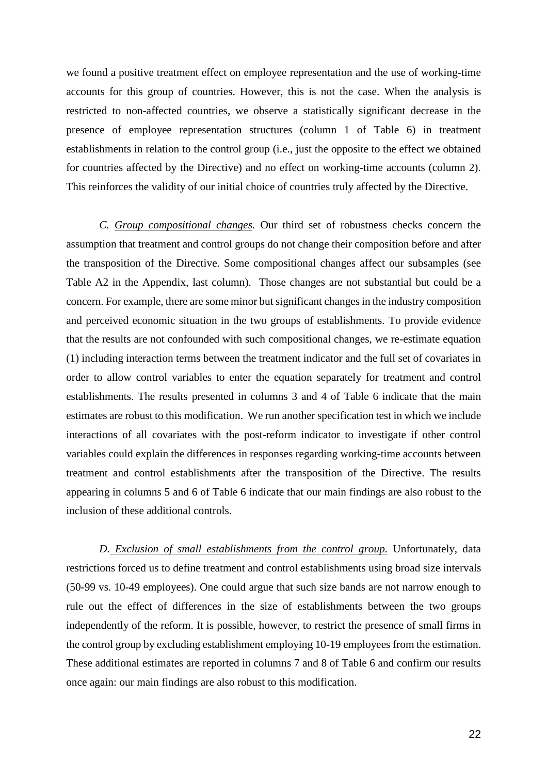we found a positive treatment effect on employee representation and the use of working-time accounts for this group of countries. However, this is not the case. When the analysis is restricted to non-affected countries, we observe a statistically significant decrease in the presence of employee representation structures (column 1 of Table 6) in treatment establishments in relation to the control group (i.e., just the opposite to the effect we obtained for countries affected by the Directive) and no effect on working-time accounts (column 2). This reinforces the validity of our initial choice of countries truly affected by the Directive.

*C. Group compositional changes.* Our third set of robustness checks concern the assumption that treatment and control groups do not change their composition before and after the transposition of the Directive. Some compositional changes affect our subsamples (see Table A2 in the Appendix, last column). Those changes are not substantial but could be a concern. For example, there are some minor but significant changes in the industry composition and perceived economic situation in the two groups of establishments. To provide evidence that the results are not confounded with such compositional changes, we re-estimate equation (1) including interaction terms between the treatment indicator and the full set of covariates in order to allow control variables to enter the equation separately for treatment and control establishments. The results presented in columns 3 and 4 of Table 6 indicate that the main estimates are robust to this modification. We run another specification test in which we include interactions of all covariates with the post-reform indicator to investigate if other control variables could explain the differences in responses regarding working-time accounts between treatment and control establishments after the transposition of the Directive. The results appearing in columns 5 and 6 of Table 6 indicate that our main findings are also robust to the inclusion of these additional controls.

*D. Exclusion of small establishments from the control group.* Unfortunately, data restrictions forced us to define treatment and control establishments using broad size intervals (50-99 vs. 10-49 employees). One could argue that such size bands are not narrow enough to rule out the effect of differences in the size of establishments between the two groups independently of the reform. It is possible, however, to restrict the presence of small firms in the control group by excluding establishment employing 10-19 employees from the estimation. These additional estimates are reported in columns 7 and 8 of Table 6 and confirm our results once again: our main findings are also robust to this modification.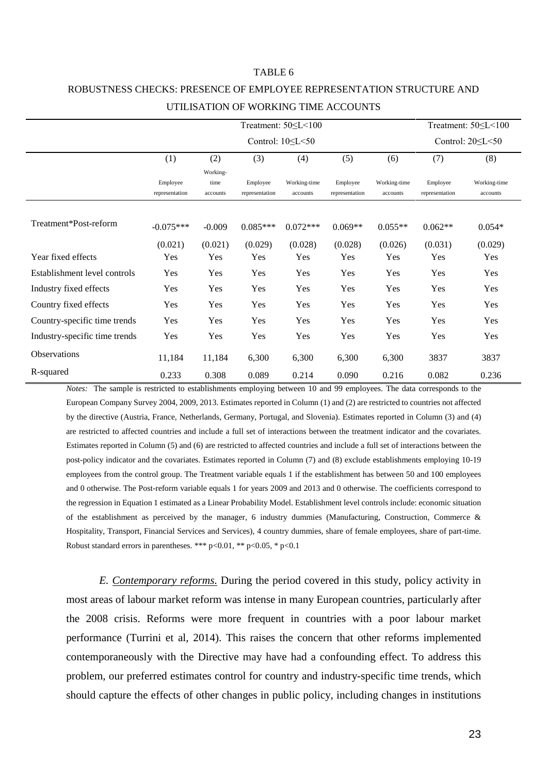## ROBUSTNESS CHECKS: PRESENCE OF EMPLOYEE REPRESENTATION STRUCTURE AND UTILISATION OF WORKING TIME ACCOUNTS

TABLE 6

|                               | Treatment: 50 < L < 100    |                              |                            |                          |                            |                          |                            |                          |
|-------------------------------|----------------------------|------------------------------|----------------------------|--------------------------|----------------------------|--------------------------|----------------------------|--------------------------|
|                               |                            |                              | Control: $20 \le L \le 50$ |                          |                            |                          |                            |                          |
|                               | (1)                        | (7)                          | (8)                        |                          |                            |                          |                            |                          |
|                               | Employee<br>representation | Working-<br>time<br>accounts | Employee<br>representation | Working-time<br>accounts | Employee<br>representation | Working-time<br>accounts | Employee<br>representation | Working-time<br>accounts |
| Treatment*Post-reform         | $-0.075***$                | $-0.009$                     | $0.085***$                 | $0.072***$               | $0.069**$                  | $0.055**$                | $0.062**$                  | $0.054*$                 |
|                               | (0.021)                    | (0.021)                      | (0.029)                    | (0.028)                  | (0.028)                    | (0.026)                  | (0.031)                    | (0.029)                  |
| Year fixed effects            | Yes                        | Yes                          | Yes                        | Yes                      | Yes                        | Yes                      | Yes                        | Yes                      |
| Establishment level controls  | Yes                        | Yes                          | Yes                        | Yes                      | Yes                        | Yes                      | Yes                        | Yes                      |
| Industry fixed effects        | Yes                        | Yes                          | Yes                        | Yes                      | Yes                        | Yes                      | Yes                        | Yes                      |
| Country fixed effects         | Yes                        | Yes                          | Yes                        | Yes                      | Yes                        | Yes                      | Yes                        | Yes                      |
| Country-specific time trends  | Yes                        | Yes                          | Yes                        | Yes                      | Yes                        | Yes                      | Yes                        | Yes                      |
| Industry-specific time trends | Yes                        | Yes                          | Yes                        | Yes                      | Yes                        | Yes                      | Yes                        | Yes                      |
| <b>Observations</b>           | 11,184                     | 11,184                       | 6,300                      | 6,300                    | 6,300                      | 6,300                    | 3837                       | 3837                     |
| R-squared                     | 0.233                      | 0.308                        | 0.089                      | 0.214                    | 0.090                      | 0.216                    | 0.082                      | 0.236                    |

*Notes:* The sample is restricted to establishments employing between 10 and 99 employees. The data corresponds to the European Company Survey 2004, 2009, 2013. Estimates reported in Column (1) and (2) are restricted to countries not affected by the directive (Austria, France, Netherlands, Germany, Portugal, and Slovenia). Estimates reported in Column (3) and (4) are restricted to affected countries and include a full set of interactions between the treatment indicator and the covariates. Estimates reported in Column (5) and (6) are restricted to affected countries and include a full set of interactions between the post-policy indicator and the covariates. Estimates reported in Column (7) and (8) exclude establishments employing 10-19 employees from the control group. The Treatment variable equals 1 if the establishment has between 50 and 100 employees and 0 otherwise. The Post-reform variable equals 1 for years 2009 and 2013 and 0 otherwise. The coefficients correspond to the regression in Equation 1 estimated as a Linear Probability Model. Establishment level controls include: economic situation of the establishment as perceived by the manager, 6 industry dummies (Manufacturing, Construction, Commerce & Hospitality, Transport, Financial Services and Services), 4 country dummies, share of female employees, share of part-time. Robust standard errors in parentheses. \*\*\* p<0.01, \*\* p<0.05, \* p<0.1

*E. Contemporary reforms.* During the period covered in this study, policy activity in most areas of labour market reform was intense in many European countries, particularly after the 2008 crisis. Reforms were more frequent in countries with a poor labour market performance (Turrini et al, 2014). This raises the concern that other reforms implemented contemporaneously with the Directive may have had a confounding effect. To address this problem, our preferred estimates control for country and industry-specific time trends, which should capture the effects of other changes in public policy, including changes in institutions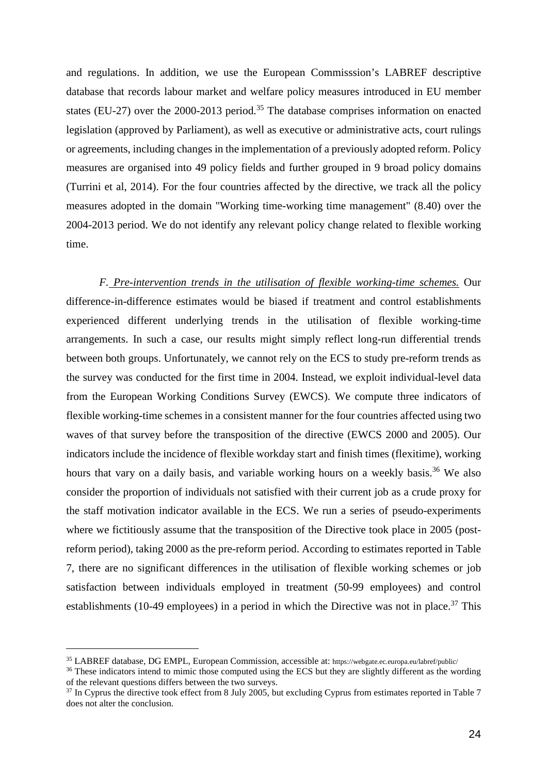and regulations. In addition, we use the European Commisssion's LABREF descriptive database that records labour market and welfare policy measures introduced in EU member states (EU-27) over the 2000-2013 period.<sup>35</sup> The database comprises information on enacted legislation (approved by Parliament), as well as executive or administrative acts, court rulings or agreements, including changes in the implementation of a previously adopted reform. Policy measures are organised into 49 policy fields and further grouped in 9 broad policy domains (Turrini et al, 2014). For the four countries affected by the directive, we track all the policy measures adopted in the domain "Working time-working time management" (8.40) over the 2004-2013 period. We do not identify any relevant policy change related to flexible working time.

*F. Pre-intervention trends in the utilisation of flexible working-time schemes.* Our difference-in-difference estimates would be biased if treatment and control establishments experienced different underlying trends in the utilisation of flexible working-time arrangements. In such a case, our results might simply reflect long-run differential trends between both groups. Unfortunately, we cannot rely on the ECS to study pre-reform trends as the survey was conducted for the first time in 2004. Instead, we exploit individual-level data from the European Working Conditions Survey (EWCS). We compute three indicators of flexible working-time schemes in a consistent manner for the four countries affected using two waves of that survey before the transposition of the directive (EWCS 2000 and 2005). Our indicators include the incidence of flexible workday start and finish times (flexitime), working hours that vary on a daily basis, and variable working hours on a weekly basis.<sup>36</sup> We also consider the proportion of individuals not satisfied with their current job as a crude proxy for the staff motivation indicator available in the ECS. We run a series of pseudo-experiments where we fictitiously assume that the transposition of the Directive took place in 2005 (postreform period), taking 2000 as the pre-reform period. According to estimates reported in Table 7, there are no significant differences in the utilisation of flexible working schemes or job satisfaction between individuals employed in treatment (50-99 employees) and control establishments (10-49 employees) in a period in which the Directive was not in place.<sup>37</sup> This

<sup>35</sup> LABREF database, DG EMPL, European Commission, accessible at: https://webgate.ec.europa.eu/labref/public/

<sup>&</sup>lt;sup>36</sup> These indicators intend to mimic those computed using the ECS but they are slightly different as the wording of the relevant questions differs between the two surveys.

<sup>&</sup>lt;sup>37</sup> In Cyprus the directive took effect from 8 July 2005, but excluding Cyprus from estimates reported in Table 7 does not alter the conclusion.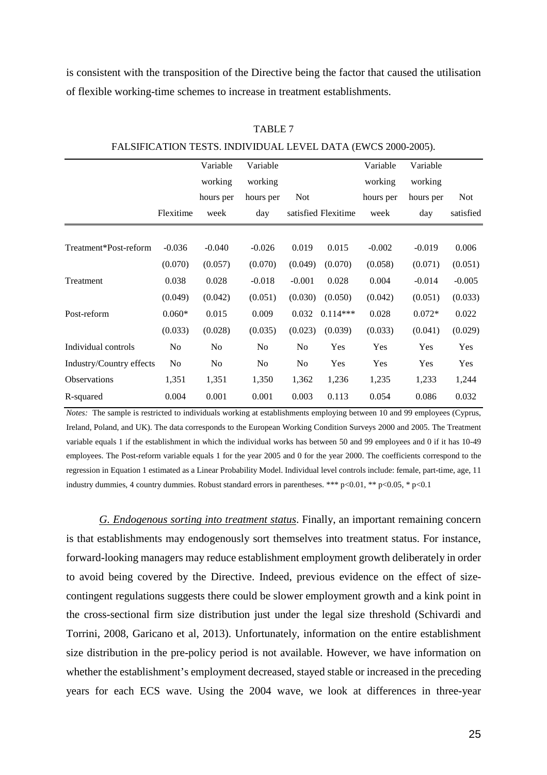is consistent with the transposition of the Directive being the factor that caused the utilisation of flexible working-time schemes to increase in treatment establishments.

|                          |                | Variable  | Variable       |            |                     | Variable  | Variable  |            |
|--------------------------|----------------|-----------|----------------|------------|---------------------|-----------|-----------|------------|
|                          |                | working   | working        |            |                     | working   | working   |            |
|                          |                | hours per | hours per      | <b>Not</b> |                     | hours per | hours per | <b>Not</b> |
|                          | Flexitime      | week      | day            |            | satisfied Flexitime | week      | day       | satisfied  |
|                          |                |           |                |            |                     |           |           |            |
| Treatment*Post-reform    | $-0.036$       | $-0.040$  | $-0.026$       | 0.019      | 0.015               | $-0.002$  | $-0.019$  | 0.006      |
|                          | (0.070)        | (0.057)   | (0.070)        | (0.049)    | (0.070)             | (0.058)   | (0.071)   | (0.051)    |
| Treatment                | 0.038          | 0.028     | $-0.018$       | $-0.001$   | 0.028               | 0.004     | $-0.014$  | $-0.005$   |
|                          | (0.049)        | (0.042)   | (0.051)        | (0.030)    | (0.050)             | (0.042)   | (0.051)   | (0.033)    |
| Post-reform              | $0.060*$       | 0.015     | 0.009          | 0.032      | $0.114***$          | 0.028     | $0.072*$  | 0.022      |
|                          | (0.033)        | (0.028)   | (0.035)        | (0.023)    | (0.039)             | (0.033)   | (0.041)   | (0.029)    |
| Individual controls      | N <sub>o</sub> | No        | N <sub>0</sub> | No         | Yes                 | Yes       | Yes       | Yes        |
| Industry/Country effects | N <sub>o</sub> | No        | N <sub>o</sub> | No         | Yes                 | Yes       | Yes       | Yes        |
| <b>Observations</b>      | 1,351          | 1,351     | 1,350          | 1,362      | 1,236               | 1,235     | 1,233     | 1,244      |
| R-squared                | 0.004          | 0.001     | 0.001          | 0.003      | 0.113               | 0.054     | 0.086     | 0.032      |
|                          |                |           |                |            |                     |           |           |            |

TABLE 7

FALSIFICATION TESTS. INDIVIDUAL LEVEL DATA (EWCS 2000-2005).

*Notes:* The sample is restricted to individuals working at establishments employing between 10 and 99 employees (Cyprus, Ireland, Poland, and UK). The data corresponds to the European Working Condition Surveys 2000 and 2005. The Treatment variable equals 1 if the establishment in which the individual works has between 50 and 99 employees and 0 if it has 10-49 employees. The Post-reform variable equals 1 for the year 2005 and 0 for the year 2000. The coefficients correspond to the regression in Equation 1 estimated as a Linear Probability Model. Individual level controls include: female, part-time, age, 11 industry dummies, 4 country dummies. Robust standard errors in parentheses. \*\*\* p<0.01, \*\* p<0.05, \* p<0.1

*G. Endogenous sorting into treatment status*. Finally, an important remaining concern is that establishments may endogenously sort themselves into treatment status. For instance, forward-looking managers may reduce establishment employment growth deliberately in order to avoid being covered by the Directive. Indeed, previous evidence on the effect of sizecontingent regulations suggests there could be slower employment growth and a kink point in the cross-sectional firm size distribution just under the legal size threshold (Schivardi and Torrini, 2008, Garicano et al, 2013). Unfortunately, information on the entire establishment size distribution in the pre-policy period is not available. However, we have information on whether the establishment's employment decreased, stayed stable or increased in the preceding years for each ECS wave. Using the 2004 wave, we look at differences in three-year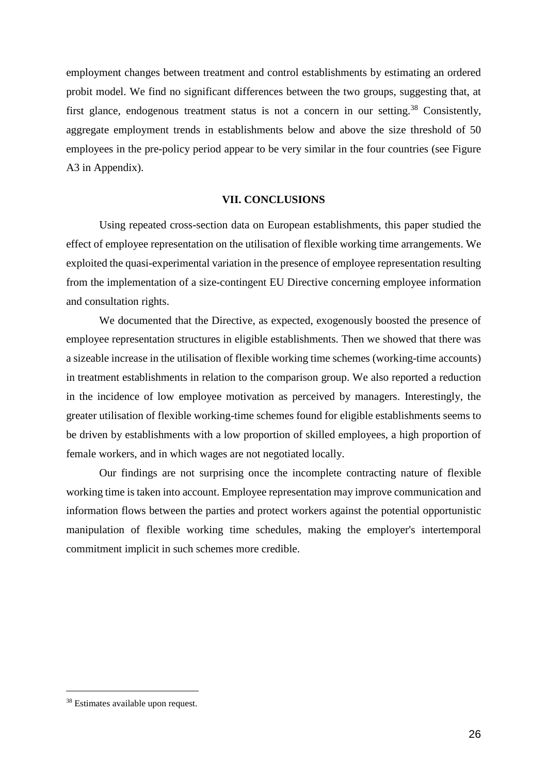employment changes between treatment and control establishments by estimating an ordered probit model. We find no significant differences between the two groups, suggesting that, at first glance, endogenous treatment status is not a concern in our setting.<sup>38</sup> Consistently, aggregate employment trends in establishments below and above the size threshold of 50 employees in the pre-policy period appear to be very similar in the four countries (see Figure A3 in Appendix).

### **VII. CONCLUSIONS**

Using repeated cross-section data on European establishments, this paper studied the effect of employee representation on the utilisation of flexible working time arrangements. We exploited the quasi-experimental variation in the presence of employee representation resulting from the implementation of a size-contingent EU Directive concerning employee information and consultation rights.

We documented that the Directive, as expected, exogenously boosted the presence of employee representation structures in eligible establishments. Then we showed that there was a sizeable increase in the utilisation of flexible working time schemes (working-time accounts) in treatment establishments in relation to the comparison group. We also reported a reduction in the incidence of low employee motivation as perceived by managers. Interestingly, the greater utilisation of flexible working-time schemes found for eligible establishments seems to be driven by establishments with a low proportion of skilled employees, a high proportion of female workers, and in which wages are not negotiated locally.

Our findings are not surprising once the incomplete contracting nature of flexible working time is taken into account. Employee representation may improve communication and information flows between the parties and protect workers against the potential opportunistic manipulation of flexible working time schedules, making the employer's intertemporal commitment implicit in such schemes more credible.

<sup>38</sup> Estimates available upon request.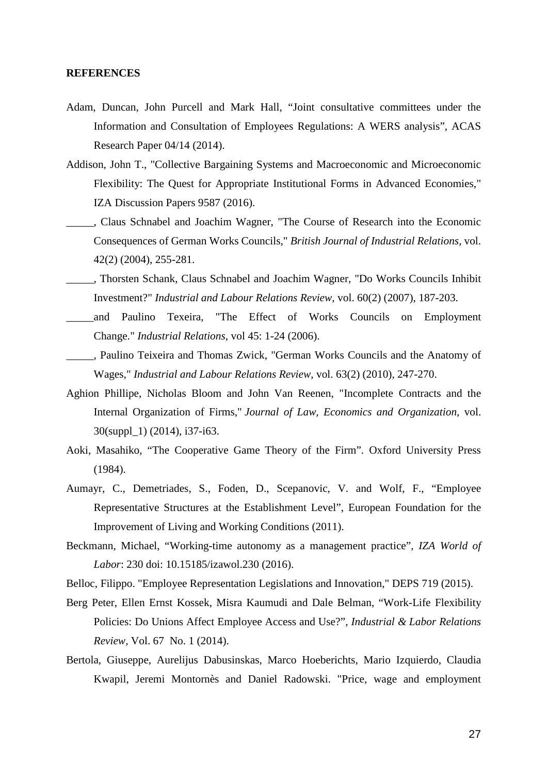### **REFERENCES**

- Adam, Duncan, John Purcell and Mark Hall, "Joint consultative committees under the Information and Consultation of Employees Regulations: A WERS analysis", ACAS Research Paper 04/14 (2014).
- Addison, John T., "Collective Bargaining Systems and Macroeconomic and Microeconomic Flexibility: The Quest for Appropriate Institutional Forms in Advanced Economies," IZA Discussion Papers 9587 (2016).
- \_\_\_\_\_, Claus Schnabel and Joachim Wagner, "The Course of Research into the Economic Consequences of German Works Councils," *British Journal of Industrial Relations*, vol. 42(2) (2004), 255-281.
- \_\_\_\_\_, Thorsten Schank, Claus Schnabel and Joachim Wagner, "Do Works Councils Inhibit Investment?" *Industrial and Labour Relations Review*, vol. 60(2) (2007), 187-203.
- \_\_\_\_\_and Paulino Texeira, "The Effect of Works Councils on Employment Change." *Industrial Relations*, vol 45: 1-24 (2006).
- \_\_\_\_\_, Paulino Teixeira and Thomas Zwick, "German Works Councils and the Anatomy of Wages," *Industrial and Labour Relations Review*, vol. 63(2) (2010), 247-270.
- Aghion Phillipe, Nicholas Bloom and John Van Reenen, "Incomplete Contracts and the Internal Organization of Firms," *Journal of Law, Economics and Organization*, vol. 30(suppl\_1) (2014), i37-i63.
- Aoki, Masahiko, "The Cooperative Game Theory of the Firm". Oxford University Press (1984).
- Aumayr, C., Demetriades, S., Foden, D., Scepanovic, V. and Wolf, F., "Employee Representative Structures at the Establishment Level", European Foundation for the Improvement of Living and Working Conditions (2011).
- Beckmann, Michael, "Working-time autonomy as a management practice", *IZA World of Labor*: 230 doi: 10.15185/izawol.230 (2016).
- Belloc, Filippo. "Employee Representation Legislations and Innovation," DEPS 719 (2015).
- Berg Peter, Ellen Ernst Kossek, Misra Kaumudi and Dale Belman, "Work-Life Flexibility Policies: Do Unions Affect Employee Access and Use?", *Industrial & Labor Relations Review,* Vol. 67 No. 1 (2014).
- Bertola, Giuseppe, Aurelijus Dabusinskas, Marco Hoeberichts, Mario Izquierdo, Claudia Kwapil, Jeremi Montornès and Daniel Radowski. "Price, wage and employment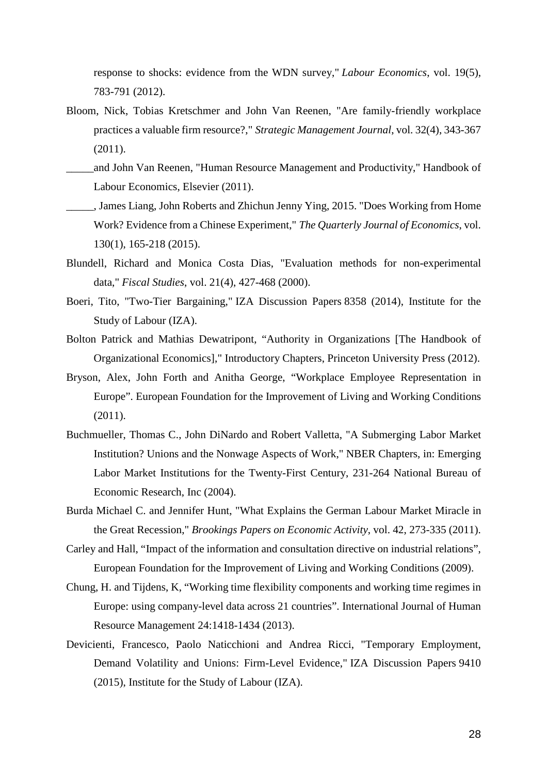response to shocks: evidence from the WDN survey," *Labour Economics*, vol. 19(5), 783-791 (2012).

- Bloom, Nick, Tobias Kretschmer and John Van Reenen, "Are family-friendly workplace practices a valuable firm resource?," *Strategic Management Journal*, vol. 32(4), 343-367 (2011).
- \_\_\_\_\_and John Van Reenen, "Human Resource Management and Productivity," Handbook of Labour Economics, Elsevier (2011).
- \_\_\_\_\_, James Liang, John Roberts and Zhichun Jenny Ying, 2015. "Does Working from Home Work? Evidence from a Chinese Experiment," *The Quarterly Journal of Economics*, vol. 130(1), 165-218 (2015).
- Blundell, Richard and Monica Costa Dias, "Evaluation methods for non-experimental data," *Fiscal Studies*, vol. 21(4), 427-468 (2000).
- Boeri, Tito, "Two-Tier Bargaining," IZA Discussion Papers 8358 (2014), Institute for the Study of Labour (IZA).
- Bolton Patrick and Mathias Dewatripont, "Authority in Organizations [The Handbook of Organizational Economics]," Introductory Chapters, Princeton University Press (2012).
- Bryson, Alex, John Forth and Anitha George, "Workplace Employee Representation in Europe". European Foundation for the Improvement of Living and Working Conditions (2011).
- Buchmueller, Thomas C., John DiNardo and Robert Valletta, "A Submerging Labor Market Institution? Unions and the Nonwage Aspects of Work," NBER Chapters, in: Emerging Labor Market Institutions for the Twenty-First Century, 231-264 National Bureau of Economic Research, Inc (2004).
- Burda Michael C. and Jennifer Hunt, "What Explains the German Labour Market Miracle in the Great Recession," *Brookings Papers on Economic Activity*, vol. 42, 273-335 (2011).
- Carley and Hall, "Impact of the information and consultation directive on industrial relations", European Foundation for the Improvement of Living and Working Conditions (2009).
- Chung, H. and Tijdens, K, "Working time flexibility components and working time regimes in Europe: using company-level data across 21 countries". International Journal of Human Resource Management 24:1418-1434 (2013).
- Devicienti, Francesco, Paolo Naticchioni and Andrea Ricci, "Temporary Employment, Demand Volatility and Unions: Firm-Level Evidence," IZA Discussion Papers 9410 (2015), Institute for the Study of Labour (IZA).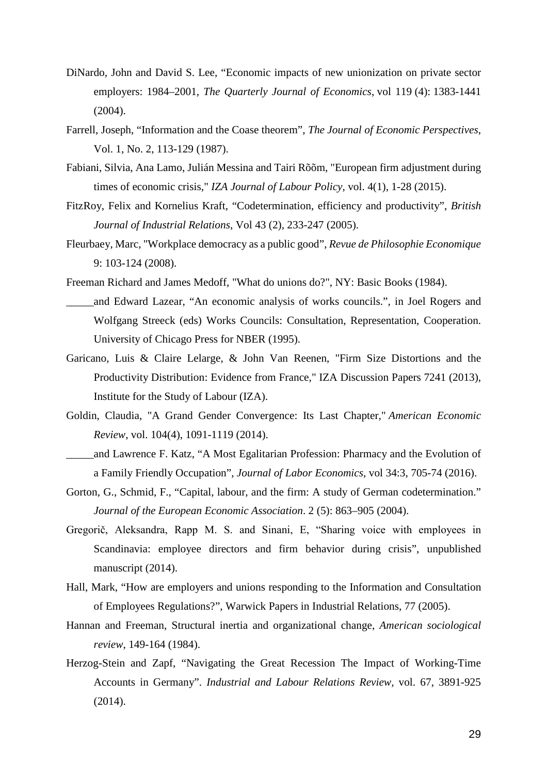- DiNardo, John and David S. Lee, "Economic impacts of new unionization on private sector employers: 1984–2001, *The Quarterly Journal of Economics*, vol 119 (4): 1383-1441 (2004).
- Farrell, Joseph, "Information and the Coase theorem", *The Journal of Economic Perspectives*, Vol. 1, No. 2, 113-129 (1987).
- Fabiani, Silvia, Ana Lamo, Julián Messina and Tairi Rõõm, "European firm adjustment during times of economic crisis," *IZA Journal of Labour Policy*, vol. 4(1), 1-28 (2015).
- FitzRoy, Felix and Kornelius Kraft, "Codetermination, efficiency and productivity", *British Journal of Industrial Relations*, Vol 43 (2), 233-247 (2005).
- Fleurbaey, Marc, "Workplace democracy as a public good", *Revue de Philosophie Economique* 9: 103-124 (2008).
- Freeman Richard and James Medoff, "What do unions do?", NY: Basic Books (1984).
- \_\_\_\_\_and Edward Lazear, "An economic analysis of works councils.", in Joel Rogers and Wolfgang Streeck (eds) Works Councils: Consultation, Representation, Cooperation. University of Chicago Press for NBER (1995).
- Garicano, Luis & Claire Lelarge, & John Van Reenen, "Firm Size Distortions and the Productivity Distribution: Evidence from France," IZA Discussion Papers 7241 (2013), Institute for the Study of Labour (IZA).
- Goldin, Claudia, "A Grand Gender Convergence: Its Last Chapter," *American Economic Review*, vol. 104(4), 1091-1119 (2014).
- \_\_\_\_\_and Lawrence F. Katz, "A Most Egalitarian Profession: Pharmacy and the Evolution of a Family Friendly Occupation", *Journal of Labor Economics*, vol 34:3, 705-74 (2016).
- Gorton, G., Schmid, F., "Capital, labour, and the firm: A study of German codetermination." *Journal of the European Economic Association*. 2 (5): 863–905 (2004).
- Gregorič, Aleksandra, Rapp M. S. and Sinani, E, "Sharing voice with employees in Scandinavia: employee directors and firm behavior during crisis", unpublished manuscript (2014).
- Hall, Mark, "How are employers and unions responding to the Information and Consultation of Employees Regulations?", Warwick Papers in Industrial Relations, 77 (2005).
- Hannan and Freeman, Structural inertia and organizational change, *American sociological review*, 149-164 (1984).
- Herzog-Stein and Zapf, "Navigating the Great Recession The Impact of Working-Time Accounts in Germany". *Industrial and Labour Relations Review,* vol. 67, 3891-925 (2014).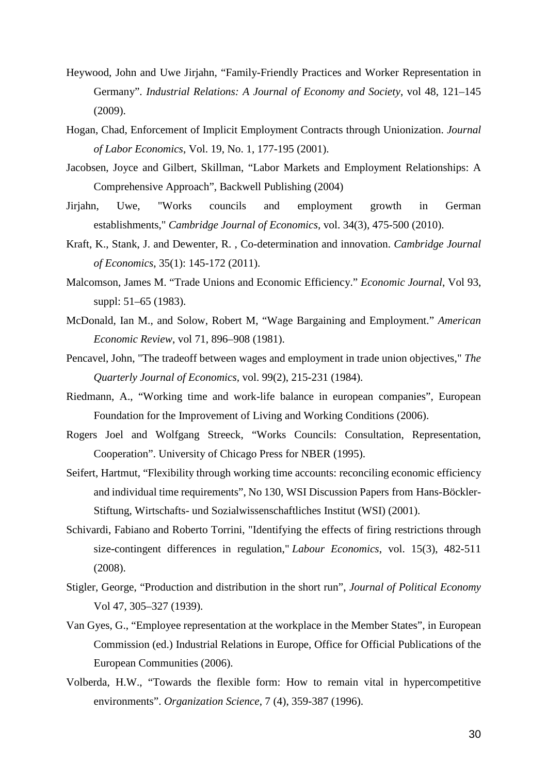- Heywood, John and Uwe Jirjahn, "Family-Friendly Practices and Worker Representation in Germany". *Industrial Relations: A Journal of Economy and Society*, vol 48, 121–145 (2009).
- Hogan, Chad, Enforcement of Implicit Employment Contracts through Unionization. *Journal of Labor Economics*, Vol. 19, No. 1, 177-195 (2001).
- Jacobsen, Joyce and Gilbert, Skillman, "Labor Markets and Employment Relationships: A Comprehensive Approach", Backwell Publishing (2004)
- Jirjahn, Uwe, "Works councils and employment growth in German establishments," *Cambridge Journal of Economics,* vol. 34(3), 475-500 (2010).
- Kraft, K., Stank, J. and Dewenter, R. , Co-determination and innovation. *Cambridge Journal of Economics*, 35(1): 145-172 (2011).
- Malcomson, James M. "Trade Unions and Economic Efficiency." *Economic Journal*, Vol 93, suppl: 51–65 (1983).
- McDonald, Ian M., and Solow, Robert M, "Wage Bargaining and Employment." *American Economic Review*, vol 71, 896–908 (1981).
- Pencavel, John, "The tradeoff between wages and employment in trade union objectives," *The Quarterly Journal of Economics,* vol. 99(2), 215-231 (1984).
- Riedmann, A., "Working time and work-life balance in european companies", European Foundation for the Improvement of Living and Working Conditions (2006).
- Rogers Joel and Wolfgang Streeck, "Works Councils: Consultation, Representation, Cooperation". University of Chicago Press for NBER (1995).
- Seifert, Hartmut, "Flexibility through working time accounts: reconciling economic efficiency and individual time requirements", No 130, WSI Discussion Papers from Hans-Böckler-Stiftung, Wirtschafts- und Sozialwissenschaftliches Institut (WSI) (2001).
- Schivardi, Fabiano and Roberto Torrini, "Identifying the effects of firing restrictions through size-contingent differences in regulation," *Labour Economics*, vol. 15(3), 482-511 (2008).
- Stigler, George, "Production and distribution in the short run", *Journal of Political Economy* Vol 47, 305–327 (1939).
- Van Gyes, G., "Employee representation at the workplace in the Member States", in European Commission (ed.) Industrial Relations in Europe, Office for Official Publications of the European Communities (2006).
- Volberda, H.W., "Towards the flexible form: How to remain vital in hypercompetitive environments". *Organization Science*, 7 (4), 359-387 (1996).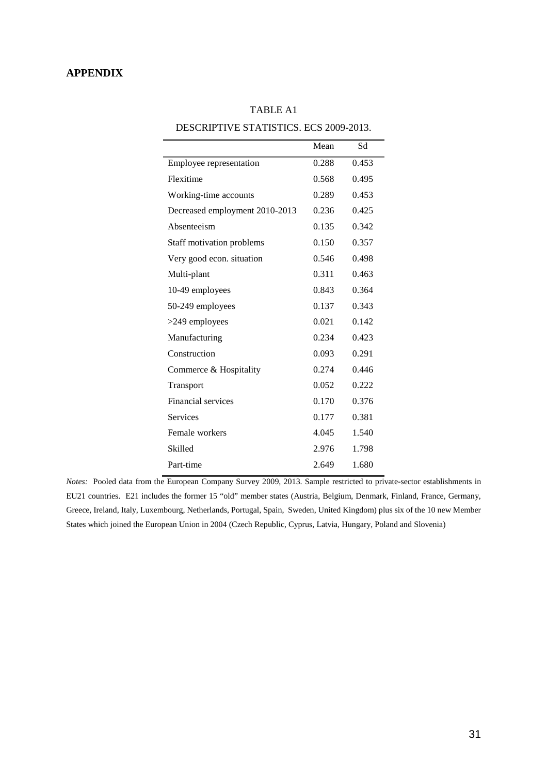### **APPENDIX**

| DESCRIPTIVE STATISTICS. ECS 2009-2013. |       |       |  |  |  |  |  |
|----------------------------------------|-------|-------|--|--|--|--|--|
|                                        | Mean  | Sd    |  |  |  |  |  |
| Employee representation                | 0.288 | 0.453 |  |  |  |  |  |
| Flexitime                              | 0.568 | 0.495 |  |  |  |  |  |
| Working-time accounts                  | 0.289 | 0.453 |  |  |  |  |  |
| Decreased employment 2010-2013         | 0.236 | 0.425 |  |  |  |  |  |
| Absenteeism                            | 0.135 | 0.342 |  |  |  |  |  |
| Staff motivation problems              | 0.150 | 0.357 |  |  |  |  |  |
| Very good econ. situation              | 0.546 | 0.498 |  |  |  |  |  |
| Multi-plant                            | 0.311 | 0.463 |  |  |  |  |  |
| 10-49 employees                        | 0.843 | 0.364 |  |  |  |  |  |
| 50-249 employees                       | 0.137 | 0.343 |  |  |  |  |  |
| >249 employees                         | 0.021 | 0.142 |  |  |  |  |  |
| Manufacturing                          | 0.234 | 0.423 |  |  |  |  |  |
| Construction                           | 0.093 | 0.291 |  |  |  |  |  |
| Commerce & Hospitality                 | 0.274 | 0.446 |  |  |  |  |  |
| Transport                              | 0.052 | 0.222 |  |  |  |  |  |
| Financial services                     | 0.170 | 0.376 |  |  |  |  |  |
| <b>Services</b>                        | 0.177 | 0.381 |  |  |  |  |  |
| Female workers                         | 4.045 | 1.540 |  |  |  |  |  |
| Skilled                                | 2.976 | 1.798 |  |  |  |  |  |
| Part-time                              | 2.649 | 1.680 |  |  |  |  |  |

## TABLE A1

DESCRIPTIVE STATISTICS. ECS 2000-2013

*Notes:* Pooled data from the European Company Survey 2009, 2013. Sample restricted to private-sector establishments in EU21 countries. E21 includes the former 15 "old" member states (Austria, Belgium, Denmark, Finland, France, Germany, Greece, Ireland, Italy, Luxembourg, Netherlands, Portugal, Spain, Sweden, United Kingdom) plus six of the 10 new Member States which joined the European Union in 2004 (Czech Republic, Cyprus, Latvia, Hungary, Poland and Slovenia)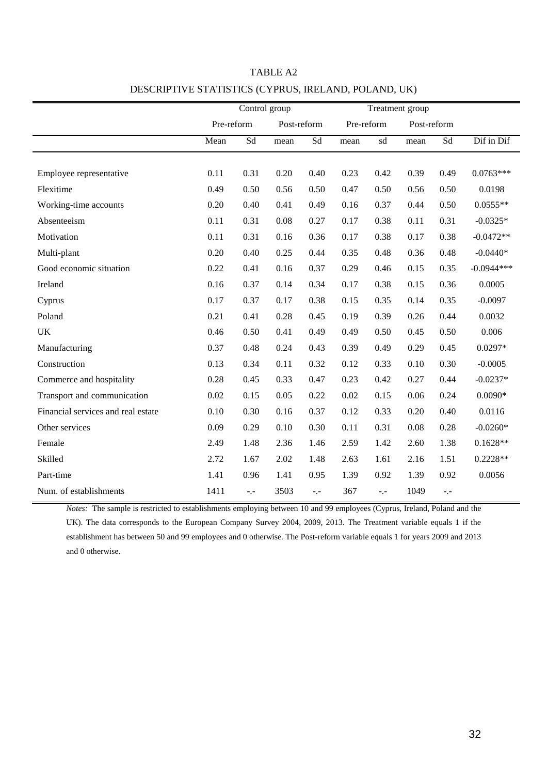|                                    | Control group |      |             | Treatment group |            |                     |             |                     |              |
|------------------------------------|---------------|------|-------------|-----------------|------------|---------------------|-------------|---------------------|--------------|
|                                    | Pre-reform    |      | Post-reform |                 | Pre-reform |                     | Post-reform |                     |              |
|                                    | Mean          | Sd   | mean        | Sd              | mean       | $\operatorname{sd}$ | mean        | $\operatorname{Sd}$ | Dif in Dif   |
|                                    |               |      |             |                 |            |                     |             |                     |              |
| Employee representative            | 0.11          | 0.31 | 0.20        | 0.40            | 0.23       | 0.42                | 0.39        | 0.49                | $0.0763***$  |
| Flexitime                          | 0.49          | 0.50 | 0.56        | 0.50            | 0.47       | 0.50                | 0.56        | 0.50                | 0.0198       |
| Working-time accounts              | 0.20          | 0.40 | 0.41        | 0.49            | 0.16       | 0.37                | 0.44        | 0.50                | $0.0555**$   |
| Absenteeism                        | 0.11          | 0.31 | 0.08        | 0.27            | 0.17       | 0.38                | 0.11        | 0.31                | $-0.0325*$   |
| Motivation                         | 0.11          | 0.31 | 0.16        | 0.36            | 0.17       | 0.38                | 0.17        | 0.38                | $-0.0472**$  |
| Multi-plant                        | 0.20          | 0.40 | 0.25        | 0.44            | 0.35       | 0.48                | 0.36        | 0.48                | $-0.0440*$   |
| Good economic situation            | 0.22          | 0.41 | 0.16        | 0.37            | 0.29       | 0.46                | 0.15        | 0.35                | $-0.0944***$ |
| Ireland                            | 0.16          | 0.37 | 0.14        | 0.34            | 0.17       | 0.38                | 0.15        | 0.36                | 0.0005       |
| Cyprus                             | 0.17          | 0.37 | 0.17        | 0.38            | 0.15       | 0.35                | 0.14        | 0.35                | $-0.0097$    |
| Poland                             | 0.21          | 0.41 | 0.28        | 0.45            | 0.19       | 0.39                | 0.26        | 0.44                | 0.0032       |
| UK                                 | 0.46          | 0.50 | 0.41        | 0.49            | 0.49       | 0.50                | 0.45        | 0.50                | 0.006        |
| Manufacturing                      | 0.37          | 0.48 | 0.24        | 0.43            | 0.39       | 0.49                | 0.29        | 0.45                | $0.0297*$    |
| Construction                       | 0.13          | 0.34 | 0.11        | 0.32            | 0.12       | 0.33                | 0.10        | 0.30                | $-0.0005$    |
| Commerce and hospitality           | 0.28          | 0.45 | 0.33        | 0.47            | 0.23       | 0.42                | 0.27        | 0.44                | $-0.0237*$   |
| Transport and communication        | 0.02          | 0.15 | 0.05        | 0.22            | 0.02       | 0.15                | 0.06        | 0.24                | $0.0090*$    |
| Financial services and real estate | 0.10          | 0.30 | 0.16        | 0.37            | 0.12       | 0.33                | 0.20        | 0.40                | 0.0116       |
| Other services                     | 0.09          | 0.29 | 0.10        | 0.30            | 0.11       | 0.31                | 0.08        | 0.28                | $-0.0260*$   |
| Female                             | 2.49          | 1.48 | 2.36        | 1.46            | 2.59       | 1.42                | 2.60        | 1.38                | $0.1628**$   |
| Skilled                            | 2.72          | 1.67 | 2.02        | 1.48            | 2.63       | 1.61                | 2.16        | 1.51                | $0.2228**$   |
| Part-time                          | 1.41          | 0.96 | 1.41        | 0.95            | 1.39       | 0.92                | 1.39        | 0.92                | 0.0056       |
| Num. of establishments             | 1411          | $-1$ | 3503        | $-1$            | 367        | $-1$                | 1049        | $\sim$ , $\sim$     |              |

## TABLE A2 DESCRIPTIVE STATISTICS (CYPRUS, IRELAND, POLAND, UK)

*Notes:* The sample is restricted to establishments employing between 10 and 99 employees (Cyprus, Ireland, Poland and the UK). The data corresponds to the European Company Survey 2004, 2009, 2013. The Treatment variable equals 1 if the establishment has between 50 and 99 employees and 0 otherwise. The Post-reform variable equals 1 for years 2009 and 2013 and 0 otherwise.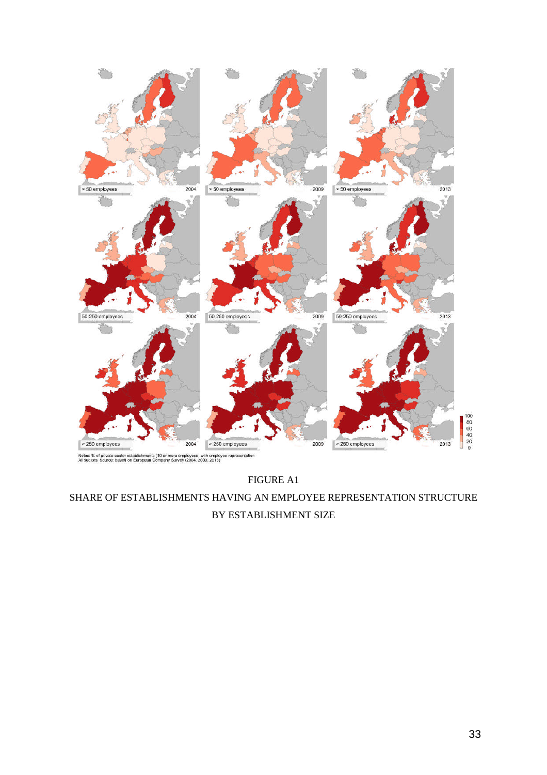

FIGURE A1 SHARE OF ESTABLISHMENTS HAVING AN EMPLOYEE REPRESENTATION STRUCTURE BY ESTABLISHMENT SIZE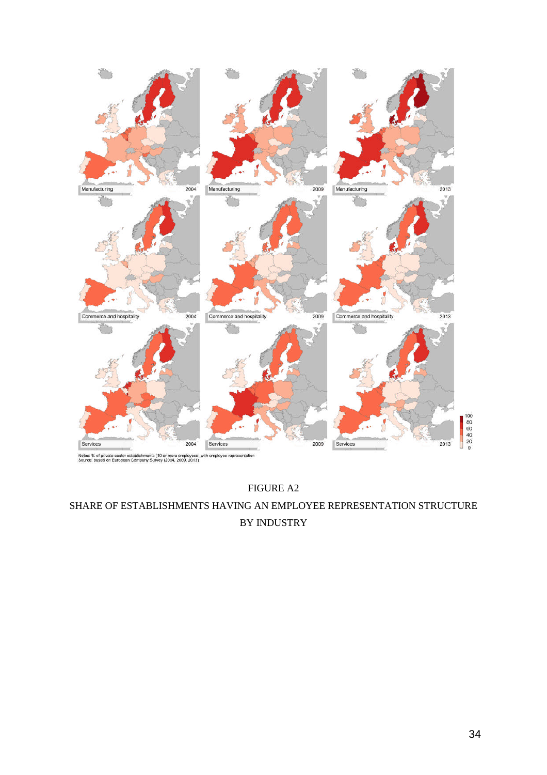

FIGURE A2 SHARE OF ESTABLISHMENTS HAVING AN EMPLOYEE REPRESENTATION STRUCTURE BY INDUSTRY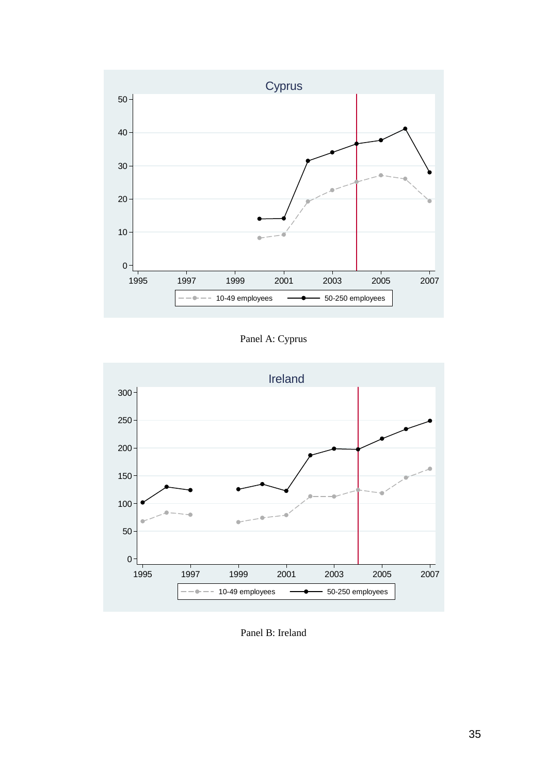

Panel A: Cyprus



Panel B: Ireland